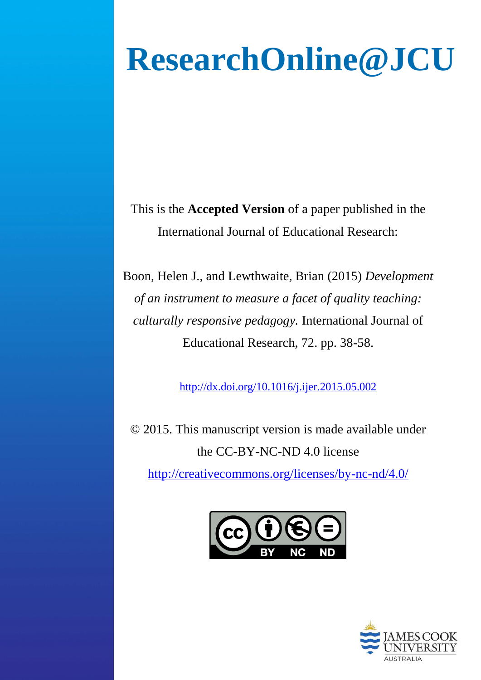# **ResearchOnline@JCU**

This is the **Accepted Version** of a paper published in the International Journal of Educational Research:

Boon, Helen J., and Lewthwaite, Brian (2015) *Development of an instrument to measure a facet of quality teaching: culturally responsive pedagogy.* International Journal of Educational Research, 72. pp. 38-58.

<http://dx.doi.org/10.1016/j.ijer.2015.05.002>

© 2015. This manuscript version is made available under the CC-BY-NC-ND 4.0 license

<http://creativecommons.org/licenses/by-nc-nd/4.0/>



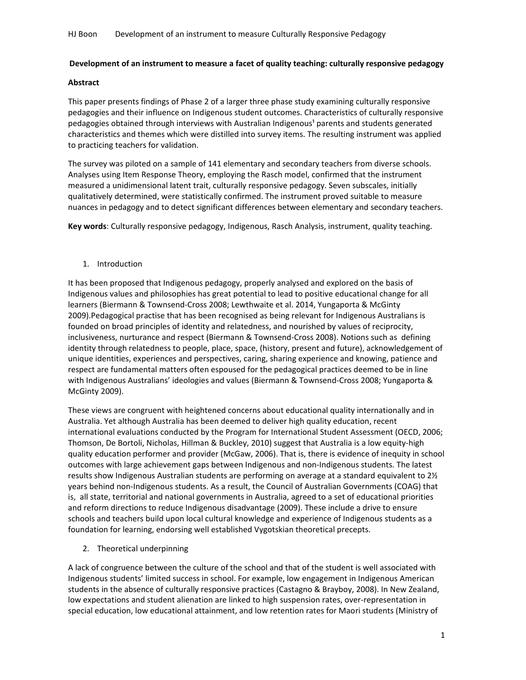## **Development of an instrument to measure a facet of quality teaching: culturally responsive pedagogy**

## **Abstract**

This paper presents findings of Phase 2 of a larger three phase study examining culturally responsive pedagogies and their influence on Indigenous student outcomes. Characteristics of culturally responsive pedagogies obtained through interviews with Australian Indigenous<sup>1</sup> parents and students generated characteristics and themes which were distilled into survey items. The resulting instrument was applied to practicing teachers for validation.

The survey was piloted on a sample of 141 elementary and secondary teachers from diverse schools. Analyses using Item Response Theory, employing the Rasch model, confirmed that the instrument measured a unidimensional latent trait, culturally responsive pedagogy. Seven subscales, initially qualitatively determined, were statistically confirmed. The instrument proved suitable to measure nuances in pedagogy and to detect significant differences between elementary and secondary teachers.

**Key words**: Culturally responsive pedagogy, Indigenous, Rasch Analysis, instrument, quality teaching.

1. Introduction

It has been proposed that Indigenous pedagogy, properly analysed and explored on the basis of Indigenous values and philosophies has great potential to lead to positive educational change for all learners (Biermann & Townsend‐Cross 2008; Lewthwaite et al. 2014, Yungaporta & McGinty 2009).Pedagogical practise that has been recognised as being relevant for Indigenous Australians is founded on broad principles of identity and relatedness, and nourished by values of reciprocity, inclusiveness, nurturance and respect (Biermann & Townsend‐Cross 2008). Notions such as defining identity through relatedness to people, place, space, (history, present and future), acknowledgement of unique identities, experiences and perspectives, caring, sharing experience and knowing, patience and respect are fundamental matters often espoused for the pedagogical practices deemed to be in line with Indigenous Australians' ideologies and values (Biermann & Townsend‐Cross 2008; Yungaporta & McGinty 2009).

These views are congruent with heightened concerns about educational quality internationally and in Australia. Yet although Australia has been deemed to deliver high quality education, recent international evaluations conducted by the Program for International Student Assessment (OECD, 2006; Thomson, De Bortoli, Nicholas, Hillman & Buckley, 2010) suggest that Australia is a low equity‐high quality education performer and provider (McGaw, 2006). That is, there is evidence of inequity in school outcomes with large achievement gaps between Indigenous and non‐Indigenous students. The latest results show Indigenous Australian students are performing on average at a standard equivalent to 2½ years behind non‐Indigenous students. As a result, the Council of Australian Governments (COAG) that is, all state, territorial and national governments in Australia, agreed to a set of educational priorities and reform directions to reduce Indigenous disadvantage (2009). These include a drive to ensure schools and teachers build upon local cultural knowledge and experience of Indigenous students as a foundation for learning, endorsing well established Vygotskian theoretical precepts.

2. Theoretical underpinning

A lack of congruence between the culture of the school and that of the student is well associated with Indigenous students' limited success in school. For example, low engagement in Indigenous American students in the absence of culturally responsive practices (Castagno & Brayboy, 2008). In New Zealand, low expectations and student alienation are linked to high suspension rates, over‐representation in special education, low educational attainment, and low retention rates for Maori students (Ministry of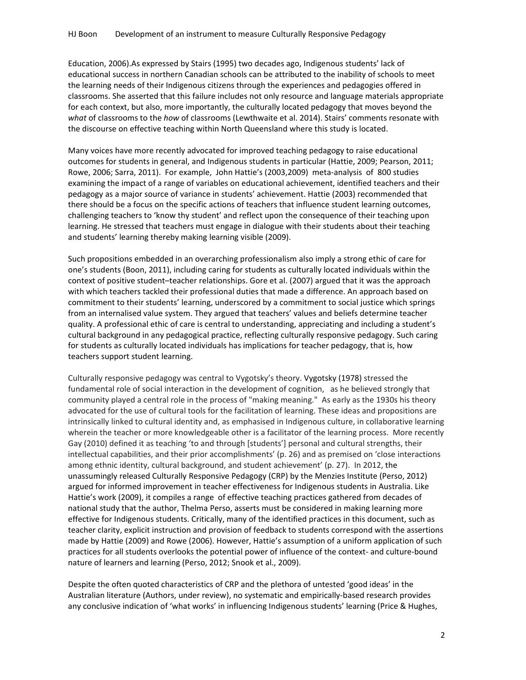Education, 2006).As expressed by Stairs (1995) two decades ago, Indigenous students' lack of educational success in northern Canadian schools can be attributed to the inability of schools to meet the learning needs of their Indigenous citizens through the experiences and pedagogies offered in classrooms. She asserted that this failure includes not only resource and language materials appropriate for each context, but also, more importantly, the culturally located pedagogy that moves beyond the *what* of classrooms to the *how* of classrooms (Lewthwaite et al. 2014). Stairs' comments resonate with the discourse on effective teaching within North Queensland where this study is located.

Many voices have more recently advocated for improved teaching pedagogy to raise educational outcomes for students in general, and Indigenous students in particular (Hattie, 2009; Pearson, 2011; Rowe, 2006; Sarra, 2011). For example, John Hattie's (2003,2009) meta‐analysis of 800 studies examining the impact of a range of variables on educational achievement, identified teachers and their pedagogy as a major source of variance in students' achievement. Hattie (2003) recommended that there should be a focus on the specific actions of teachers that influence student learning outcomes, challenging teachers to 'know thy student' and reflect upon the consequence of their teaching upon learning. He stressed that teachers must engage in dialogue with their students about their teaching and students' learning thereby making learning visible (2009).

Such propositions embedded in an overarching professionalism also imply a strong ethic of care for one's students (Boon, 2011), including caring for students as culturally located individuals within the context of positive student–teacher relationships. Gore et al. (2007) argued that it was the approach with which teachers tackled their professional duties that made a difference. An approach based on commitment to their students' learning, underscored by a commitment to social justice which springs from an internalised value system. They argued that teachers' values and beliefs determine teacher quality. A professional ethic of care is central to understanding, appreciating and including a student's cultural background in any pedagogical practice, reflecting culturally responsive pedagogy. Such caring for students as culturally located individuals has implications for teacher pedagogy, that is, how teachers support student learning.

Culturally responsive pedagogy was central to Vygotsky's theory. Vygotsky (1978) stressed the fundamental role of social interaction in the development of cognition, as he believed strongly that community played a central role in the process of "making meaning." As early as the 1930s his theory advocated for the use of cultural tools for the facilitation of learning. These ideas and propositions are intrinsically linked to cultural identity and, as emphasised in Indigenous culture, in collaborative learning wherein the teacher or more knowledgeable other is a facilitator of the learning process. More recently Gay (2010) defined it as teaching 'to and through [students'] personal and cultural strengths, their intellectual capabilities, and their prior accomplishments' (p. 26) and as premised on 'close interactions among ethnic identity, cultural background, and student achievement' (p. 27). In 2012, the unassumingly released Culturally Responsive Pedagogy (CRP) by the Menzies Institute (Perso, 2012) argued for informed improvement in teacher effectiveness for Indigenous students in Australia. Like Hattie's work (2009), it compiles a range of effective teaching practices gathered from decades of national study that the author, Thelma Perso, asserts must be considered in making learning more effective for Indigenous students. Critically, many of the identified practices in this document, such as teacher clarity, explicit instruction and provision of feedback to students correspond with the assertions made by Hattie (2009) and Rowe (2006). However, Hattie's assumption of a uniform application of such practices for all students overlooks the potential power of influence of the context‐ and culture‐bound nature of learners and learning (Perso, 2012; Snook et al., 2009).

Despite the often quoted characteristics of CRP and the plethora of untested 'good ideas' in the Australian literature (Authors, under review), no systematic and empirically‐based research provides any conclusive indication of 'what works' in influencing Indigenous students' learning (Price & Hughes,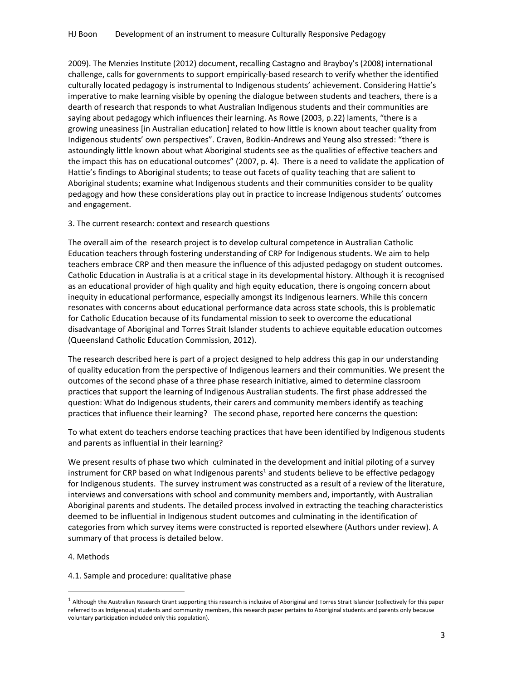2009). The Menzies Institute (2012) document, recalling Castagno and Brayboy's (2008) international challenge, calls for governments to support empirically‐based research to verify whether the identified culturally located pedagogy is instrumental to Indigenous students' achievement. Considering Hattie's imperative to make learning visible by opening the dialogue between students and teachers, there is a dearth of research that responds to what Australian Indigenous students and their communities are saying about pedagogy which influences their learning. As Rowe (2003, p.22) laments, "there is a growing uneasiness [in Australian education] related to how little is known about teacher quality from Indigenous students' own perspectives". Craven, Bodkin‐Andrews and Yeung also stressed: "there is astoundingly little known about what Aboriginal students see as the qualities of effective teachers and the impact this has on educational outcomes" (2007, p. 4). There is a need to validate the application of Hattie's findings to Aboriginal students; to tease out facets of quality teaching that are salient to Aboriginal students; examine what Indigenous students and their communities consider to be quality pedagogy and how these considerations play out in practice to increase Indigenous students' outcomes and engagement.

# 3. The current research: context and research questions

The overall aim of the research project is to develop cultural competence in Australian Catholic Education teachers through fostering understanding of CRP for Indigenous students. We aim to help teachers embrace CRP and then measure the influence of this adjusted pedagogy on student outcomes. Catholic Education in Australia is at a critical stage in its developmental history. Although it is recognised as an educational provider of high quality and high equity education, there is ongoing concern about inequity in educational performance, especially amongst its Indigenous learners. While this concern resonates with concerns about educational performance data across state schools, this is problematic for Catholic Education because of its fundamental mission to seek to overcome the educational disadvantage of Aboriginal and Torres Strait Islander students to achieve equitable education outcomes (Queensland Catholic Education Commission, 2012).

The research described here is part of a project designed to help address this gap in our understanding of quality education from the perspective of Indigenous learners and their communities. We present the outcomes of the second phase of a three phase research initiative, aimed to determine classroom practices that support the learning of Indigenous Australian students. The first phase addressed the question: What do Indigenous students, their carers and community members identify as teaching practices that influence their learning? The second phase, reported here concerns the question:

To what extent do teachers endorse teaching practices that have been identified by Indigenous students and parents as influential in their learning?

We present results of phase two which culminated in the development and initial piloting of a survey instrument for CRP based on what Indigenous parents<sup>1</sup> and students believe to be effective pedagogy for Indigenous students. The survey instrument was constructed as a result of a review of the literature, interviews and conversations with school and community members and, importantly, with Australian Aboriginal parents and students. The detailed process involved in extracting the teaching characteristics deemed to be influential in Indigenous student outcomes and culminating in the identification of categories from which survey items were constructed is reported elsewhere (Authors under review). A summary of that process is detailed below.

4. Methods

4.1. Sample and procedure: qualitative phase

 $^1$  Although the Australian Research Grant supporting this research is inclusive of Aboriginal and Torres Strait Islander (collectively for this paper referred to as Indigenous) students and community members, this research paper pertains to Aboriginal students and parents only because voluntary participation included only this population).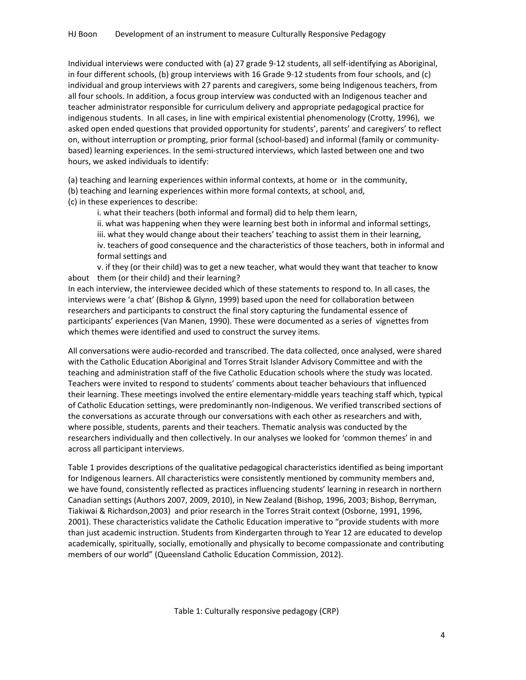Individual interviews were conducted with (a) 27 grade 9‐12 students, all self‐identifying as Aboriginal, in four different schools, (b) group interviews with 16 Grade 9‐12 students from four schools, and (c) individual and group interviews with 27 parents and caregivers, some being Indigenous teachers, from all four schools. In addition, a focus group interview was conducted with an Indigenous teacher and teacher administrator responsible for curriculum delivery and appropriate pedagogical practice for indigenous students. In all cases, in line with empirical existential phenomenology (Crotty, 1996), we asked open ended questions that provided opportunity for students', parents' and caregivers' to reflect on, without interruption or prompting, prior formal (school-based) and informal (family or communitybased) learning experiences. In the semi‐structured interviews, which lasted between one and two hours, we asked individuals to identify:

(a) teaching and learning experiences within informal contexts, at home or in the community,

- (b) teaching and learning experiences within more formal contexts, at school, and,
- (c) in these experiences to describe:

i. what their teachers (both informal and formal) did to help them learn,

ii. what was happening when they were learning best both in informal and informal settings, iii. what they would change about their teachers' teaching to assist them in their learning, iv. teachers of good consequence and the characteristics of those teachers, both in informal and formal settings and

v. if they (or their child) was to get a new teacher, what would they want that teacher to know about them (or their child) and their learning?

In each interview, the interviewee decided which of these statements to respond to. In all cases, the interviews were 'a chat' (Bishop & Glynn, 1999) based upon the need for collaboration between researchers and participants to construct the final story capturing the fundamental essence of participants' experiences (Van Manen, 1990). These were documented as a series of vignettes from which themes were identified and used to construct the survey items.

All conversations were audio‐recorded and transcribed. The data collected, once analysed, were shared with the Catholic Education Aboriginal and Torres Strait Islander Advisory Committee and with the teaching and administration staff of the five Catholic Education schools where the study was located. Teachers were invited to respond to students' comments about teacher behaviours that influenced their learning. These meetings involved the entire elementary‐middle years teaching staff which, typical of Catholic Education settings, were predominantly non‐Indigenous. We verified transcribed sections of the conversations as accurate through our conversations with each other as researchers and with, where possible, students, parents and their teachers. Thematic analysis was conducted by the researchers individually and then collectively. In our analyses we looked for 'common themes' in and across all participant interviews.

Table 1 provides descriptions of the qualitative pedagogical characteristics identified as being important for Indigenous learners. All characteristics were consistently mentioned by community members and, we have found, consistently reflected as practices influencing students' learning in research in northern Canadian settings (Authors 2007, 2009, 2010), in New Zealand (Bishop, 1996, 2003; Bishop, Berryman, Tiakiwai & Richardson,2003) and prior research in the Torres Strait context (Osborne, 1991, 1996, 2001). These characteristics validate the Catholic Education imperative to "provide students with more than just academic instruction. Students from Kindergarten through to Year 12 are educated to develop academically, spiritually, socially, emotionally and physically to become compassionate and contributing members of our world" (Queensland Catholic Education Commission, 2012).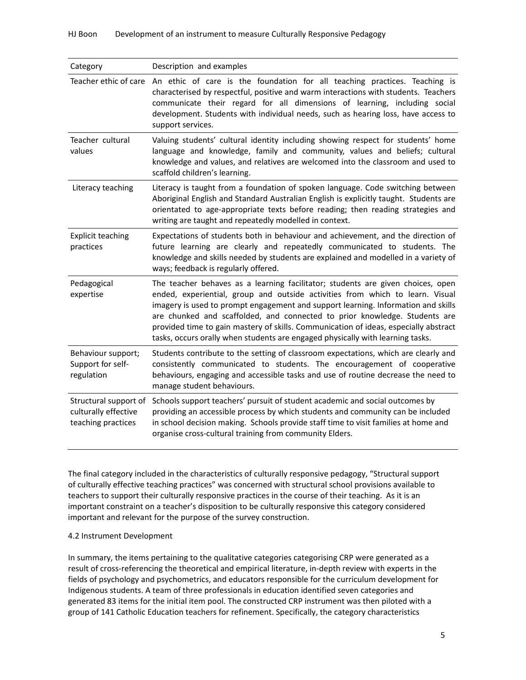| Category                                                            | Description and examples                                                                                                                                                                                                                                                                                                                                                                                                                                                                                      |
|---------------------------------------------------------------------|---------------------------------------------------------------------------------------------------------------------------------------------------------------------------------------------------------------------------------------------------------------------------------------------------------------------------------------------------------------------------------------------------------------------------------------------------------------------------------------------------------------|
| Teacher ethic of care                                               | An ethic of care is the foundation for all teaching practices. Teaching is<br>characterised by respectful, positive and warm interactions with students. Teachers<br>communicate their regard for all dimensions of learning, including social<br>development. Students with individual needs, such as hearing loss, have access to<br>support services.                                                                                                                                                      |
| Teacher cultural<br>values                                          | Valuing students' cultural identity including showing respect for students' home<br>language and knowledge, family and community, values and beliefs; cultural<br>knowledge and values, and relatives are welcomed into the classroom and used to<br>scaffold children's learning.                                                                                                                                                                                                                            |
| Literacy teaching                                                   | Literacy is taught from a foundation of spoken language. Code switching between<br>Aboriginal English and Standard Australian English is explicitly taught. Students are<br>orientated to age-appropriate texts before reading; then reading strategies and<br>writing are taught and repeatedly modelled in context.                                                                                                                                                                                         |
| <b>Explicit teaching</b><br>practices                               | Expectations of students both in behaviour and achievement, and the direction of<br>future learning are clearly and repeatedly communicated to students. The<br>knowledge and skills needed by students are explained and modelled in a variety of<br>ways; feedback is regularly offered.                                                                                                                                                                                                                    |
| Pedagogical<br>expertise                                            | The teacher behaves as a learning facilitator; students are given choices, open<br>ended, experiential, group and outside activities from which to learn. Visual<br>imagery is used to prompt engagement and support learning. Information and skills<br>are chunked and scaffolded, and connected to prior knowledge. Students are<br>provided time to gain mastery of skills. Communication of ideas, especially abstract<br>tasks, occurs orally when students are engaged physically with learning tasks. |
| Behaviour support;<br>Support for self-<br>regulation               | Students contribute to the setting of classroom expectations, which are clearly and<br>consistently communicated to students. The encouragement of cooperative<br>behaviours, engaging and accessible tasks and use of routine decrease the need to<br>manage student behaviours.                                                                                                                                                                                                                             |
| Structural support of<br>culturally effective<br>teaching practices | Schools support teachers' pursuit of student academic and social outcomes by<br>providing an accessible process by which students and community can be included<br>in school decision making. Schools provide staff time to visit families at home and<br>organise cross-cultural training from community Elders.                                                                                                                                                                                             |

The final category included in the characteristics of culturally responsive pedagogy, "Structural support of culturally effective teaching practices" was concerned with structural school provisions available to teachers to support their culturally responsive practices in the course of their teaching. As it is an important constraint on a teacher's disposition to be culturally responsive this category considered important and relevant for the purpose of the survey construction.

# 4.2 Instrument Development

In summary, the items pertaining to the qualitative categories categorising CRP were generated as a result of cross‐referencing the theoretical and empirical literature, in‐depth review with experts in the fields of psychology and psychometrics, and educators responsible for the curriculum development for Indigenous students. A team of three professionals in education identified seven categories and generated 83 items for the initial item pool. The constructed CRP instrument was then piloted with a group of 141 Catholic Education teachers for refinement. Specifically, the category characteristics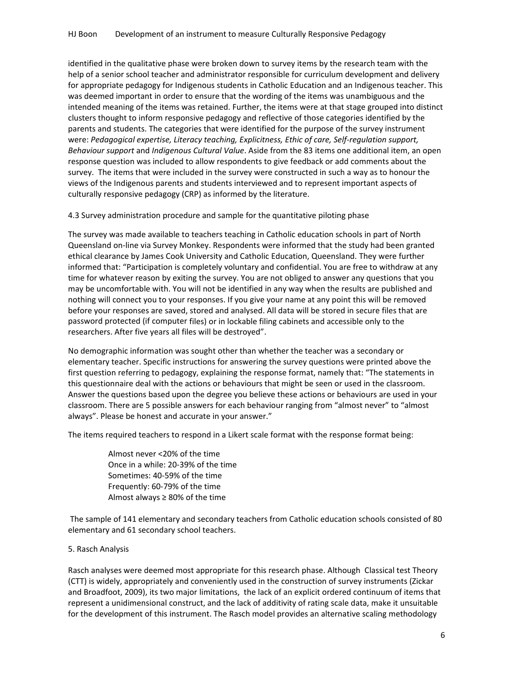identified in the qualitative phase were broken down to survey items by the research team with the help of a senior school teacher and administrator responsible for curriculum development and delivery for appropriate pedagogy for Indigenous students in Catholic Education and an Indigenous teacher. This was deemed important in order to ensure that the wording of the items was unambiguous and the intended meaning of the items was retained. Further, the items were at that stage grouped into distinct clusters thought to inform responsive pedagogy and reflective of those categories identified by the parents and students. The categories that were identified for the purpose of the survey instrument were: *Pedagogical expertise, Literacy teaching, Explicitness, Ethic of care, Self‐regulation support, Behaviour support* and *Indigenous Cultural Value*. Aside from the 83 items one additional item, an open response question was included to allow respondents to give feedback or add comments about the survey. The items that were included in the survey were constructed in such a way as to honour the views of the Indigenous parents and students interviewed and to represent important aspects of culturally responsive pedagogy (CRP) as informed by the literature.

4.3 Survey administration procedure and sample for the quantitative piloting phase

The survey was made available to teachers teaching in Catholic education schools in part of North Queensland on‐line via Survey Monkey. Respondents were informed that the study had been granted ethical clearance by James Cook University and Catholic Education, Queensland. They were further informed that: "Participation is completely voluntary and confidential. You are free to withdraw at any time for whatever reason by exiting the survey. You are not obliged to answer any questions that you may be uncomfortable with. You will not be identified in any way when the results are published and nothing will connect you to your responses. If you give your name at any point this will be removed before your responses are saved, stored and analysed. All data will be stored in secure files that are password protected (if computer files) or in lockable filing cabinets and accessible only to the researchers. After five years all files will be destroyed".

No demographic information was sought other than whether the teacher was a secondary or elementary teacher. Specific instructions for answering the survey questions were printed above the first question referring to pedagogy, explaining the response format, namely that: "The statements in this questionnaire deal with the actions or behaviours that might be seen or used in the classroom. Answer the questions based upon the degree you believe these actions or behaviours are used in your classroom. There are 5 possible answers for each behaviour ranging from "almost never" to "almost always". Please be honest and accurate in your answer."

The items required teachers to respond in a Likert scale format with the response format being:

Almost never <20% of the time Once in a while: 20‐39% of the time Sometimes: 40‐59% of the time Frequently: 60‐79% of the time Almost always  $\geq 80\%$  of the time

The sample of 141 elementary and secondary teachers from Catholic education schools consisted of 80 elementary and 61 secondary school teachers.

# 5. Rasch Analysis

Rasch analyses were deemed most appropriate for this research phase. Although Classical test Theory (CTT) is widely, appropriately and conveniently used in the construction of survey instruments (Zickar and Broadfoot, 2009), its two major limitations, the lack of an explicit ordered continuum of items that represent a unidimensional construct, and the lack of additivity of rating scale data, make it unsuitable for the development of this instrument. The Rasch model provides an alternative scaling methodology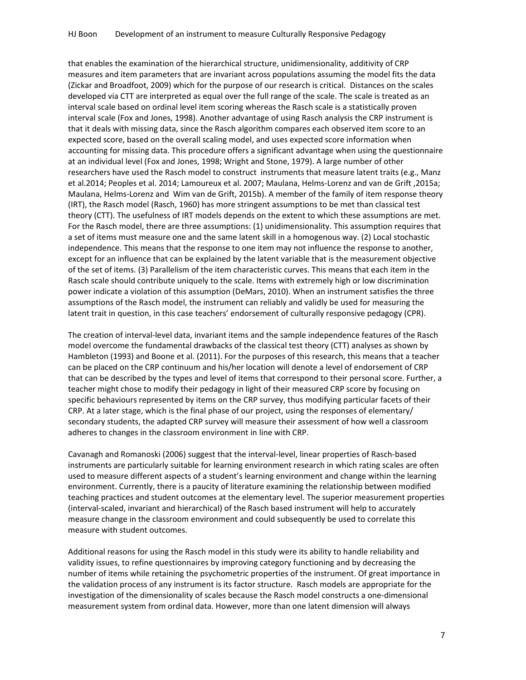that enables the examination of the hierarchical structure, unidimensionality, additivity of CRP measures and item parameters that are invariant across populations assuming the model fits the data (Zickar and Broadfoot, 2009) which for the purpose of our research is critical. Distances on the scales developed via CTT are interpreted as equal over the full range of the scale. The scale is treated as an interval scale based on ordinal level item scoring whereas the Rasch scale is a statistically proven interval scale (Fox and Jones, 1998). Another advantage of using Rasch analysis the CRP instrument is that it deals with missing data, since the Rasch algorithm compares each observed item score to an expected score, based on the overall scaling model, and uses expected score information when accounting for missing data. This procedure offers a significant advantage when using the questionnaire at an individual level (Fox and Jones, 1998; Wright and Stone, 1979). A large number of other researchers have used the Rasch model to construct instruments that measure latent traits (e.g., Manz et al.2014; Peoples et al. 2014; Lamoureux et al. 2007; Maulana, Helms‐Lorenz and van de Grift ,2015a; Maulana, Helms‐Lorenz and Wim van de Grift, 2015b). A member of the family of item response theory (IRT), the Rasch model (Rasch, 1960) has more stringent assumptions to be met than classical test theory (CTT). The usefulness of IRT models depends on the extent to which these assumptions are met. For the Rasch model, there are three assumptions: (1) unidimensionality. This assumption requires that a set of items must measure one and the same latent skill in a homogenous way. (2) Local stochastic independence. This means that the response to one item may not influence the response to another, except for an influence that can be explained by the latent variable that is the measurement objective of the set of items. (3) Parallelism of the item characteristic curves. This means that each item in the Rasch scale should contribute uniquely to the scale. Items with extremely high or low discrimination power indicate a violation of this assumption (DeMars, 2010). When an instrument satisfies the three assumptions of the Rasch model, the instrument can reliably and validly be used for measuring the latent trait in question, in this case teachers' endorsement of culturally responsive pedagogy (CPR).

The creation of interval‐level data, invariant items and the sample independence features of the Rasch model overcome the fundamental drawbacks of the classical test theory (CTT) analyses as shown by Hambleton (1993) and Boone et al. (2011). For the purposes of this research, this means that a teacher can be placed on the CRP continuum and his/her location will denote a level of endorsement of CRP that can be described by the types and level of items that correspond to their personal score. Further, a teacher might chose to modify their pedagogy in light of their measured CRP score by focusing on specific behaviours represented by items on the CRP survey, thus modifying particular facets of their CRP. At a later stage, which is the final phase of our project, using the responses of elementary/ secondary students, the adapted CRP survey will measure their assessment of how well a classroom adheres to changes in the classroom environment in line with CRP.

Cavanagh and Romanoski (2006) suggest that the interval‐level, linear properties of Rasch‐based instruments are particularly suitable for learning environment research in which rating scales are often used to measure different aspects of a student's learning environment and change within the learning environment. Currently, there is a paucity of literature examining the relationship between modified teaching practices and student outcomes at the elementary level. The superior measurement properties (interval‐scaled, invariant and hierarchical) of the Rasch based instrument will help to accurately measure change in the classroom environment and could subsequently be used to correlate this measure with student outcomes.

Additional reasons for using the Rasch model in this study were its ability to handle reliability and validity issues, to refine questionnaires by improving category functioning and by decreasing the number of items while retaining the psychometric properties of the instrument. Of great importance in the validation process of any instrument is its factor structure. Rasch models are appropriate for the investigation of the dimensionality of scales because the Rasch model constructs a one‐dimensional measurement system from ordinal data. However, more than one latent dimension will always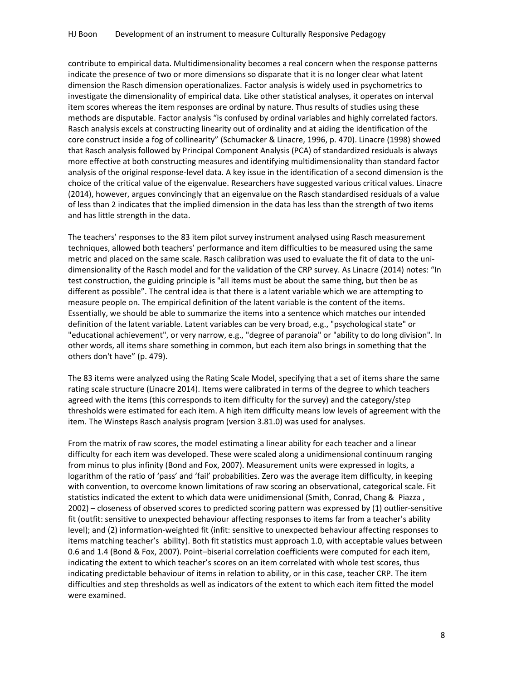contribute to empirical data. Multidimensionality becomes a real concern when the response patterns indicate the presence of two or more dimensions so disparate that it is no longer clear what latent dimension the Rasch dimension operationalizes. Factor analysis is widely used in psychometrics to investigate the dimensionality of empirical data. Like other statistical analyses, it operates on interval item scores whereas the item responses are ordinal by nature. Thus results of studies using these methods are disputable. Factor analysis "is confused by ordinal variables and highly correlated factors. Rasch analysis excels at constructing linearity out of ordinality and at aiding the identification of the core construct inside a fog of collinearity" (Schumacker & Linacre, 1996, p. 470). Linacre (1998) showed that Rasch analysis followed by Principal Component Analysis (PCA) of standardized residuals is always more effective at both constructing measures and identifying multidimensionality than standard factor analysis of the original response‐level data. A key issue in the identification of a second dimension is the choice of the critical value of the eigenvalue. Researchers have suggested various critical values. Linacre (2014), however, argues convincingly that an eigenvalue on the Rasch standardised residuals of a value of less than 2 indicates that the implied dimension in the data has less than the strength of two items and has little strength in the data.

The teachers' responses to the 83 item pilot survey instrument analysed using Rasch measurement techniques, allowed both teachers' performance and item difficulties to be measured using the same metric and placed on the same scale. Rasch calibration was used to evaluate the fit of data to the uni‐ dimensionality of the Rasch model and for the validation of the CRP survey. As Linacre (2014) notes: "In test construction, the guiding principle is "all items must be about the same thing, but then be as different as possible". The central idea is that there is a latent variable which we are attempting to measure people on. The empirical definition of the latent variable is the content of the items. Essentially, we should be able to summarize the items into a sentence which matches our intended definition of the latent variable. Latent variables can be very broad, e.g., "psychological state" or "educational achievement", or very narrow, e.g., "degree of paranoia" or "ability to do long division". In other words, all items share something in common, but each item also brings in something that the others don't have" (p. 479).

The 83 items were analyzed using the Rating Scale Model, specifying that a set of items share the same rating scale structure (Linacre 2014). Items were calibrated in terms of the degree to which teachers agreed with the items (this corresponds to item difficulty for the survey) and the category/step thresholds were estimated for each item. A high item difficulty means low levels of agreement with the item. The Winsteps Rasch analysis program (version 3.81.0) was used for analyses.

From the matrix of raw scores, the model estimating a linear ability for each teacher and a linear difficulty for each item was developed. These were scaled along a unidimensional continuum ranging from minus to plus infinity (Bond and Fox, 2007). Measurement units were expressed in logits, a logarithm of the ratio of 'pass' and 'fail' probabilities. Zero was the average item difficulty, in keeping with convention, to overcome known limitations of raw scoring an observational, categorical scale. Fit statistics indicated the extent to which data were unidimensional (Smith, Conrad, Chang & Piazza , 2002) – closeness of observed scores to predicted scoring pattern was expressed by (1) outlier-sensitive fit (outfit: sensitive to unexpected behaviour affecting responses to items far from a teacher's ability level); and (2) information‐weighted fit (infit: sensitive to unexpected behaviour affecting responses to items matching teacher's ability). Both fit statistics must approach 1.0, with acceptable values between 0.6 and 1.4 (Bond & Fox, 2007). Point–biserial correlation coefficients were computed for each item, indicating the extent to which teacher's scores on an item correlated with whole test scores, thus indicating predictable behaviour of items in relation to ability, or in this case, teacher CRP. The item difficulties and step thresholds as well as indicators of the extent to which each item fitted the model were examined.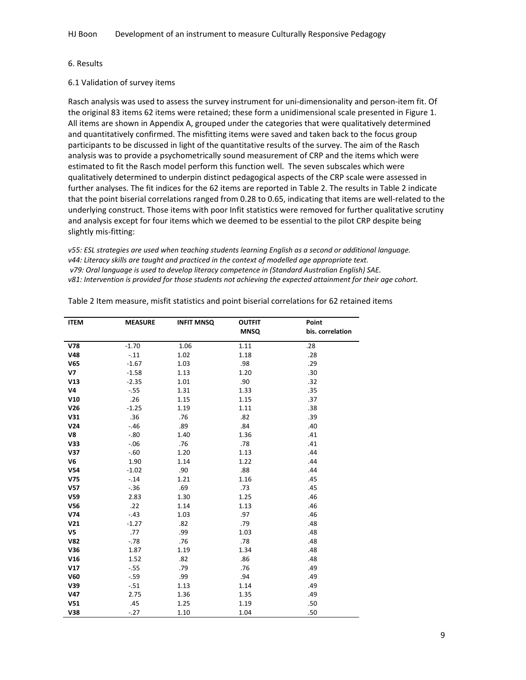# 6. Results

# 6.1 Validation of survey items

Rasch analysis was used to assess the survey instrument for uni-dimensionality and person-item fit. Of the original 83 items 62 items were retained; these form a unidimensional scale presented in Figure 1. All items are shown in Appendix A, grouped under the categories that were qualitatively determined and quantitatively confirmed. The misfitting items were saved and taken back to the focus group participants to be discussed in light of the quantitative results of the survey. The aim of the Rasch analysis was to provide a psychometrically sound measurement of CRP and the items which were estimated to fit the Rasch model perform this function well. The seven subscales which were qualitatively determined to underpin distinct pedagogical aspects of the CRP scale were assessed in further analyses. The fit indices for the 62 items are reported in Table 2. The results in Table 2 indicate that the point biserial correlations ranged from 0.28 to 0.65, indicating that items are well‐related to the underlying construct. Those items with poor Infit statistics were removed for further qualitative scrutiny and analysis except for four items which we deemed to be essential to the pilot CRP despite being slightly mis‐fitting:

*v55: ESL strategies are used when teaching students learning English as a second or additional language. v44: Literacy skills are taught and practiced in the context of modelled age appropriate text. v79: Oral language is used to develop literacy competence in (Standard Australian English) SAE.* v81: Intervention is provided for those students not achieving the expected attainment for their age cohort.

| <b>ITEM</b>     | <b>MEASURE</b> | <b>INFIT MNSQ</b> | <b>OUTFIT</b> | Point            |
|-----------------|----------------|-------------------|---------------|------------------|
|                 |                |                   | <b>MNSQ</b>   | bis. correlation |
| V78             | $-1.70$        | 1.06              | 1.11          | .28              |
| <b>V48</b>      | $-.11$         | 1.02              | 1.18          | .28              |
| V <sub>65</sub> | $-1.67$        | 1.03              | .98           | .29              |
| V7              | $-1.58$        | 1.13              | 1.20          | .30              |
| V13             | $-2.35$        | 1.01              | .90           | .32              |
| V4              | $-.55$         | 1.31              | 1.33          | .35              |
| V10             | .26            | 1.15              | 1.15          | .37              |
| V26             | $-1.25$        | 1.19              | 1.11          | .38              |
| V31             | .36            | .76               | .82           | .39              |
| V <sub>24</sub> | $-.46$         | .89               | .84           | .40              |
| V8              | $-.80$         | 1.40              | 1.36          | .41              |
| V33             | $-.06$         | .76               | .78           | .41              |
| V37             | $-.60$         | 1.20              | 1.13          | .44              |
| V6              | 1.90           | 1.14              | 1.22          | .44              |
| <b>V54</b>      | $-1.02$        | .90               | .88           | .44              |
| V <sub>75</sub> | $-.14$         | 1.21              | 1.16          | .45              |
| V <sub>57</sub> | $-.36$         | .69               | .73           | .45              |
| <b>V59</b>      | 2.83           | 1.30              | 1.25          | .46              |
| V56             | .22            | 1.14              | 1.13          | .46              |
| V74             | $-.43$         | 1.03              | .97           | .46              |
| V <sub>21</sub> | $-1.27$        | .82               | .79           | .48              |
| V5              | .77            | .99               | 1.03          | .48              |
| <b>V82</b>      | $-.78$         | .76               | .78           | .48              |
| V36             | 1.87           | 1.19              | 1.34          | .48              |
| V16             | 1.52           | .82               | .86           | .48              |
| V17             | $-.55$         | .79               | .76           | .49              |
| <b>V60</b>      | $-.59$         | .99               | .94           | .49              |
| V39             | $-.51$         | 1.13              | 1.14          | .49              |
| <b>V47</b>      | 2.75           | 1.36              | 1.35          | .49              |
| V <sub>51</sub> | .45            | 1.25              | 1.19          | .50              |
| V38             | $-.27$         | 1.10              | 1.04          | .50              |

Table 2 Item measure, misfit statistics and point biserial correlations for 62 retained items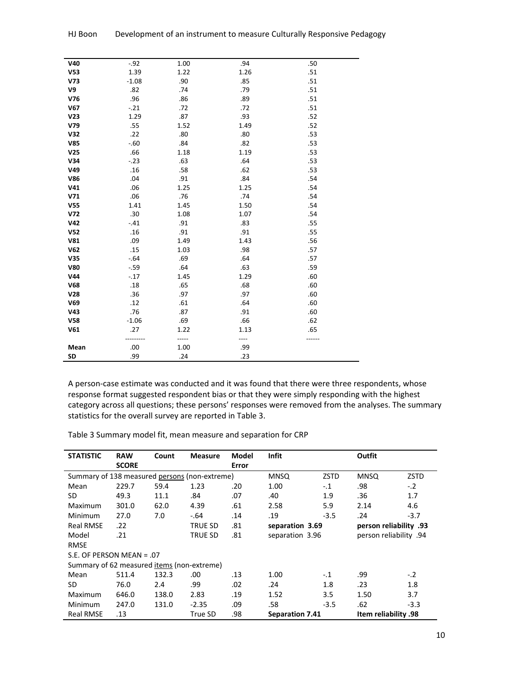| V40             | $-.92$  | 1.00  | .94  | .50 |
|-----------------|---------|-------|------|-----|
| V <sub>53</sub> | 1.39    | 1.22  | 1.26 | .51 |
| V73             | $-1.08$ | .90   | .85  | .51 |
| V9              | .82     | .74   | .79  | .51 |
| V76             | .96     | .86   | .89  | .51 |
| V67             | $-.21$  | .72   | .72  | .51 |
| V <sub>23</sub> | 1.29    | .87   | .93  | .52 |
| V79             | .55     | 1.52  | 1.49 | .52 |
| V32             | .22     | .80   | .80  | .53 |
| <b>V85</b>      | $-.60$  | .84   | .82  | .53 |
| V25             | .66     | 1.18  | 1.19 | .53 |
| V34             | $-.23$  | .63   | .64  | .53 |
| V49             | .16     | .58   | .62  | .53 |
| V86             | .04     | .91   | .84  | .54 |
| V41             | .06     | 1.25  | 1.25 | .54 |
| V71             | .06     | .76   | .74  | .54 |
| V <sub>55</sub> | 1.41    | 1.45  | 1.50 | .54 |
| V <sub>72</sub> | .30     | 1.08  | 1.07 | .54 |
| V42             | $-.41$  | .91   | .83  | .55 |
| V <sub>52</sub> | .16     | .91   | .91  | .55 |
| <b>V81</b>      | .09     | 1.49  | 1.43 | .56 |
| V62             | .15     | 1.03  | .98  | .57 |
| V35             | $-.64$  | .69   | .64  | .57 |
| <b>V80</b>      | $-.59$  | .64   | .63  | .59 |
| V44             | $-.17$  | 1.45  | 1.29 | .60 |
| <b>V68</b>      | .18     | .65   | .68  | .60 |
| V28             | .36     | .97   | .97  | .60 |
| V69             | .12     | .61   | .64  | .60 |
| V43             | .76     | .87   | .91  | .60 |
| <b>V58</b>      | $-1.06$ | .69   | .66  | .62 |
| V61             | .27     | 1.22  | 1.13 | .65 |
|                 |         | ----- | ---- |     |
| Mean            | .00     | 1.00  | .99  |     |
| <b>SD</b>       | .99     | .24   | .23  |     |

A person‐case estimate was conducted and it was found that there were three respondents, whose response format suggested respondent bias or that they were simply responding with the highest category across all questions; these persons' responses were removed from the analyses. The summary statistics for the overall survey are reported in Table 3.

Table 3 Summary model fit, mean measure and separation for CRP

| <b>STATISTIC</b>                              | <b>RAW</b>   | Count | <b>Measure</b> | Model | Infit                  |             | Outfit                      |             |
|-----------------------------------------------|--------------|-------|----------------|-------|------------------------|-------------|-----------------------------|-------------|
|                                               | <b>SCORE</b> |       |                | Error |                        |             |                             |             |
| Summary of 138 measured persons (non-extreme) |              |       |                |       | <b>MNSQ</b>            | <b>ZSTD</b> | <b>MNSQ</b>                 | <b>ZSTD</b> |
| Mean                                          | 229.7        | 59.4  | 1.23           | .20   | 1.00                   | $-.1$       | .98                         | $-.2$       |
| <b>SD</b>                                     | 49.3         | 11.1  | .84            | .07   | .40                    | 1.9         | .36                         | 1.7         |
| Maximum                                       | 301.0        | 62.0  | 4.39           | .61   | 2.58                   | 5.9         | 2.14                        | 4.6         |
| Minimum                                       | 27.0         | 7.0   | $-.64$         | .14   | .19                    | $-3.5$      | .24                         | $-3.7$      |
| <b>Real RMSE</b>                              | .22          |       | TRUE SD        | .81   | separation 3.69        |             | person reliability .93      |             |
| Model                                         | .21          |       | TRUE SD        | .81   | separation 3.96        |             | person reliability .94      |             |
| <b>RMSE</b>                                   |              |       |                |       |                        |             |                             |             |
| S.E. OF PERSON MEAN = $.07$                   |              |       |                |       |                        |             |                             |             |
| Summary of 62 measured items (non-extreme)    |              |       |                |       |                        |             |                             |             |
| Mean                                          | 511.4        | 132.3 | .00            | .13   | 1.00                   | $-.1$       | .99                         | $-.2$       |
| <b>SD</b>                                     | 76.0         | 2.4   | .99            | .02   | .24                    | 1.8         | .23                         | 1.8         |
| Maximum                                       | 646.0        | 138.0 | 2.83           | .19   | 1.52                   | 3.5         | 1.50                        | 3.7         |
| Minimum                                       | 247.0        | 131.0 | $-2.35$        | .09   | .58                    | $-3.5$      | .62                         | $-3.3$      |
| <b>Real RMSE</b>                              | .13          |       | True SD        | .98   | <b>Separation 7.41</b> |             | <b>Item reliability .98</b> |             |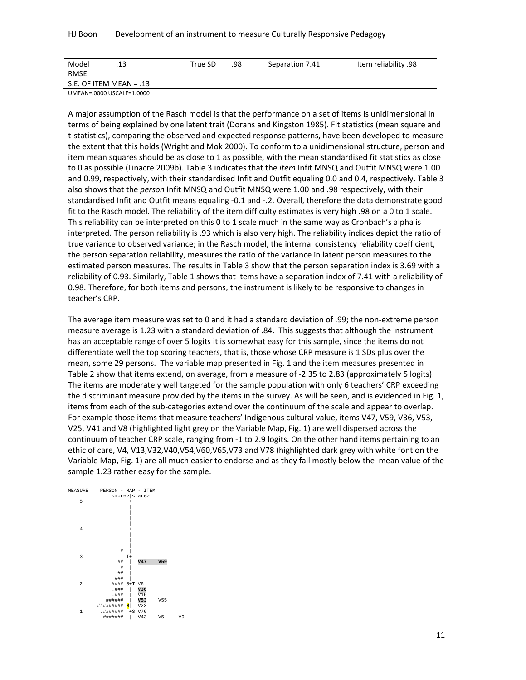| Model | 13                        | True SD | .98 | Separation 7.41 | 18. Item reliability |
|-------|---------------------------|---------|-----|-----------------|----------------------|
| RMSE  |                           |         |     |                 |                      |
|       | S.E. OF ITEM MEAN = $.13$ |         |     |                 |                      |
|       | UMEAN=.0000 USCALE=1.0000 |         |     |                 |                      |

A major assumption of the Rasch model is that the performance on a set of items is unidimensional in terms of being explained by one latent trait (Dorans and Kingston 1985). Fit statistics (mean square and t‐statistics), comparing the observed and expected response patterns, have been developed to measure the extent that this holds (Wright and Mok 2000). To conform to a unidimensional structure, person and item mean squares should be as close to 1 as possible, with the mean standardised fit statistics as close to 0 as possible (Linacre 2009b). Table 3 indicates that the *item* Infit MNSQ and Outfit MNSQ were 1.00 and 0.99, respectively, with their standardised Infit and Outfit equaling 0.0 and 0.4, respectively. Table 3 also shows that the *person* Infit MNSQ and Outfit MNSQ were 1.00 and .98 respectively, with their standardised Infit and Outfit means equaling ‐0.1 and ‐.2. Overall, therefore the data demonstrate good fit to the Rasch model. The reliability of the item difficulty estimates is very high .98 on a 0 to 1 scale. This reliability can be interpreted on this 0 to 1 scale much in the same way as Cronbach's alpha is interpreted. The person reliability is .93 which is also very high. The reliability indices depict the ratio of true variance to observed variance; in the Rasch model, the internal consistency reliability coefficient, the person separation reliability, measures the ratio of the variance in latent person measures to the estimated person measures. The results in Table 3 show that the person separation index is 3.69 with a reliability of 0.93. Similarly, Table 1 shows that items have a separation index of 7.41 with a reliability of 0.98. Therefore, for both items and persons, the instrument is likely to be responsive to changes in teacher's CRP.

The average item measure was set to 0 and it had a standard deviation of .99; the non-extreme person measure average is 1.23 with a standard deviation of .84. This suggests that although the instrument has an acceptable range of over 5 logits it is somewhat easy for this sample, since the items do not differentiate well the top scoring teachers, that is, those whose CRP measure is 1 SDs plus over the mean, some 29 persons. The variable map presented in Fig. 1 and the item measures presented in Table 2 show that items extend, on average, from a measure of ‐2.35 to 2.83 (approximately 5 logits). The items are moderately well targeted for the sample population with only 6 teachers' CRP exceeding the discriminant measure provided by the items in the survey. As will be seen, and is evidenced in Fig. 1, items from each of the sub‐categories extend over the continuum of the scale and appear to overlap. For example those items that measure teachers' Indigenous cultural value, items V47, V59, V36, V53, V25, V41 and V8 (highlighted light grey on the Variable Map, Fig. 1) are well dispersed across the continuum of teacher CRP scale, ranging from ‐1 to 2.9 logits. On the other hand items pertaining to an ethic of care, V4, V13,V32,V40,V54,V60,V65,V73 and V78 (highlighted dark grey with white font on the Variable Map, Fig. 1) are all much easier to endorse and as they fall mostly below the mean value of the sample 1.23 rather easy for the sample.

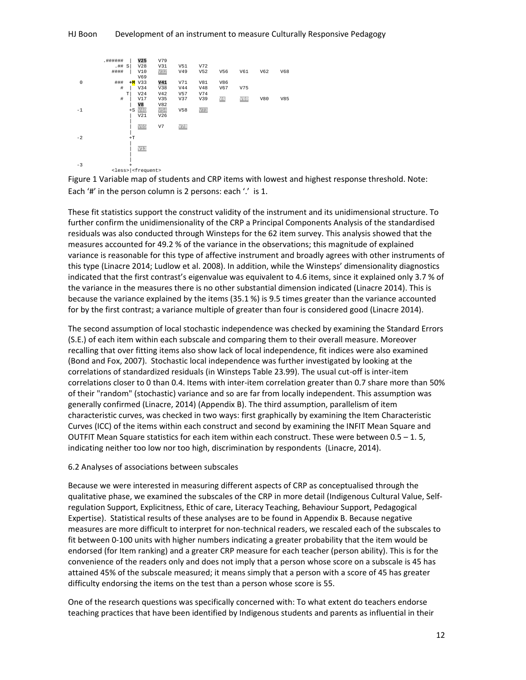

Figure 1 Variable map of students and CRP items with lowest and highest response threshold. Note: Each '#' in the person column is 2 persons: each '.' is 1.

These fit statistics support the construct validity of the instrument and its unidimensional structure. To further confirm the unidimensionality of the CRP a Principal Components Analysis of the standardised residuals was also conducted through Winsteps for the 62 item survey. This analysis showed that the measures accounted for 49.2 % of the variance in the observations; this magnitude of explained variance is reasonable for this type of affective instrument and broadly agrees with other instruments of this type (Linacre 2014; Ludlow et al. 2008). In addition, while the Winsteps' dimensionality diagnostics indicated that the first contrast's eigenvalue was equivalent to 4.6 items, since it explained only 3.7 % of the variance in the measures there is no other substantial dimension indicated (Linacre 2014). This is because the variance explained by the items (35.1 %) is 9.5 times greater than the variance accounted for by the first contrast; a variance multiple of greater than four is considered good (Linacre 2014).

The second assumption of local stochastic independence was checked by examining the Standard Errors (S.E.) of each item within each subscale and comparing them to their overall measure. Moreover recalling that over fitting items also show lack of local independence, fit indices were also examined (Bond and Fox, 2007). Stochastic local independence was further investigated by looking at the correlations of standardized residuals (in Winsteps Table 23.99). The usual cut‐off is inter‐item correlations closer to 0 than 0.4. Items with inter‐item correlation greater than 0.7 share more than 50% of their "random" (stochastic) variance and so are far from locally independent. This assumption was generally confirmed (Linacre, 2014) (Appendix B). The third assumption, parallelism of item characteristic curves, was checked in two ways: first graphically by examining the Item Characteristic Curves (ICC) of the items within each construct and second by examining the INFIT Mean Square and OUTFIT Mean Square statistics for each item within each construct. These were between  $0.5 - 1.5$ , indicating neither too low nor too high, discrimination by respondents (Linacre, 2014).

# 6.2 Analyses of associations between subscales

Because we were interested in measuring different aspects of CRP as conceptualised through the qualitative phase, we examined the subscales of the CRP in more detail (Indigenous Cultural Value, Self‐ regulation Support, Explicitness, Ethic of care, Literacy Teaching, Behaviour Support, Pedagogical Expertise). Statistical results of these analyses are to be found in Appendix B. Because negative measures are more difficult to interpret for non‐technical readers, we rescaled each of the subscales to fit between 0‐100 units with higher numbers indicating a greater probability that the item would be endorsed (for Item ranking) and a greater CRP measure for each teacher (person ability). This is for the convenience of the readers only and does not imply that a person whose score on a subscale is 45 has attained 45% of the subscale measured; it means simply that a person with a score of 45 has greater difficulty endorsing the items on the test than a person whose score is 55.

One of the research questions was specifically concerned with: To what extent do teachers endorse teaching practices that have been identified by Indigenous students and parents as influential in their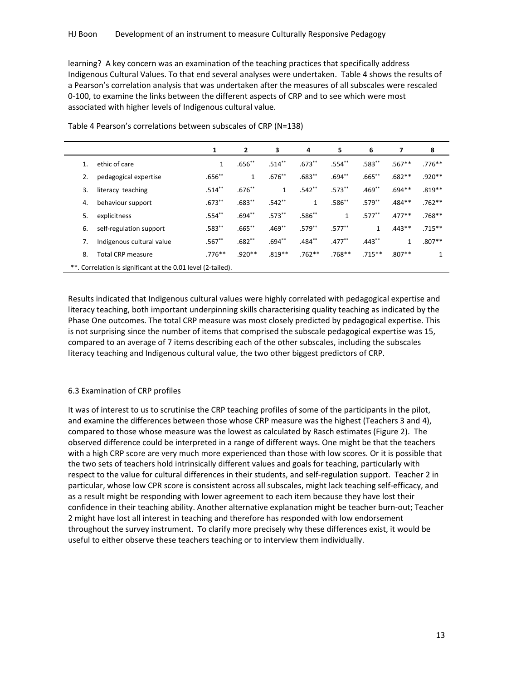learning? A key concern was an examination of the teaching practices that specifically address Indigenous Cultural Values. To that end several analyses were undertaken. Table 4 shows the results of a Pearson's correlation analysis that was undertaken after the measures of all subscales were rescaled 0‐100, to examine the links between the different aspects of CRP and to see which were most associated with higher levels of Indigenous cultural value.

|                |                                                              | $\mathbf{1}$ | $\overline{2}$ | 3            | 4            | 5            | 6            | 7            | 8         |
|----------------|--------------------------------------------------------------|--------------|----------------|--------------|--------------|--------------|--------------|--------------|-----------|
| $\mathbf{1}$ . | ethic of care                                                | $\mathbf{1}$ | $.656***$      | $.514***$    | $.673***$    | $.554***$    | $.583***$    | $.567**$     | $.776**$  |
| 2.             | pedagogical expertise                                        | $.656***$    | $\mathbf{1}$   | $.676***$    | $.683**$     | $.694**$     | $.665***$    | $.682**$     | $.920**$  |
| 3.             | literacy teaching                                            | $.514***$    | $.676***$      | $\mathbf{1}$ | $.542***$    | $.573***$    | $.469**$     | $.694**$     | $.819**$  |
| 4.             | behaviour support                                            | $.673***$    | $.683***$      | $.542**$     | $\mathbf{1}$ | $.586***$    | $.579**$     | $.484**$     | $.762**$  |
| 5.             | explicitness                                                 | $.554***$    | $.694***$      | $.573***$    | $.586***$    | $\mathbf{1}$ | $.577***$    | $.477**$     | $.768**$  |
| 6.             | self-regulation support                                      | $.583***$    | $.665***$      | $.469***$    | $.579$ $*$   | $.577***$    | $\mathbf{1}$ | $.443**$     | $.715***$ |
| 7.             | Indigenous cultural value                                    | $.567***$    | $.682**$       | $.694***$    | $.484***$    | $.477***$    | $.443***$    | $\mathbf{1}$ | $.807**$  |
| 8.             | <b>Total CRP measure</b>                                     | $.776**$     | $.920**$       | $.819**$     | $.762**$     | $.768***$    | $.715**$     | $.807**$     | 1         |
|                | **. Correlation is significant at the 0.01 level (2-tailed). |              |                |              |              |              |              |              |           |

Table 4 Pearson's correlations between subscales of CRP (N=138)

Results indicated that Indigenous cultural values were highly correlated with pedagogical expertise and literacy teaching, both important underpinning skills characterising quality teaching as indicated by the Phase One outcomes. The total CRP measure was most closely predicted by pedagogical expertise. This is not surprising since the number of items that comprised the subscale pedagogical expertise was 15, compared to an average of 7 items describing each of the other subscales, including the subscales literacy teaching and Indigenous cultural value, the two other biggest predictors of CRP.

## 6.3 Examination of CRP profiles

It was of interest to us to scrutinise the CRP teaching profiles of some of the participants in the pilot, and examine the differences between those whose CRP measure was the highest (Teachers 3 and 4), compared to those whose measure was the lowest as calculated by Rasch estimates (Figure 2). The observed difference could be interpreted in a range of different ways. One might be that the teachers with a high CRP score are very much more experienced than those with low scores. Or it is possible that the two sets of teachers hold intrinsically different values and goals for teaching, particularly with respect to the value for cultural differences in their students, and self‐regulation support. Teacher 2 in particular, whose low CPR score is consistent across all subscales, might lack teaching self‐efficacy, and as a result might be responding with lower agreement to each item because they have lost their confidence in their teaching ability. Another alternative explanation might be teacher burn‐out; Teacher 2 might have lost all interest in teaching and therefore has responded with low endorsement throughout the survey instrument. To clarify more precisely why these differences exist, it would be useful to either observe these teachers teaching or to interview them individually.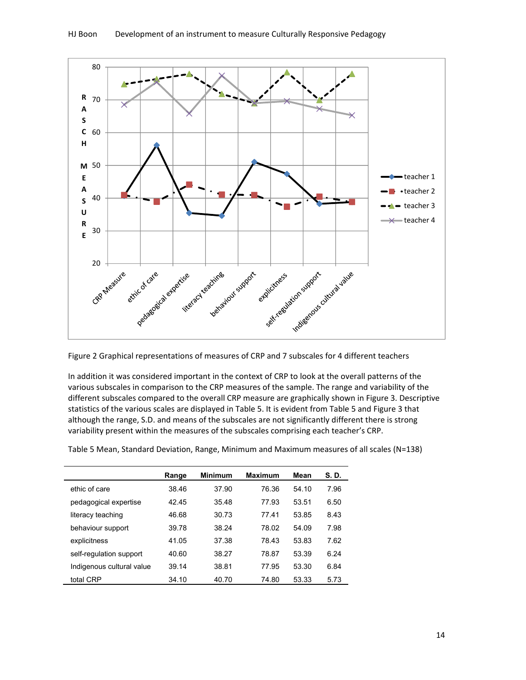

In addition it was considered important in the context of CRP to look at the overall patterns of the various subscales in comparison to the CRP measures of the sample. The range and variability of the different subscales compared to the overall CRP measure are graphically shown in Figure 3. Descriptive statistics of the various scales are displayed in Table 5. It is evident from Table 5 and Figure 3 that although the range, S.D. and means of the subscales are not significantly different there is strong variability present within the measures of the subscales comprising each teacher's CRP.

|                       | Range | Minimum | Maximum | Mean  | S. D. |
|-----------------------|-------|---------|---------|-------|-------|
| ethic of care         | 38.46 | 37.90   | 76.36   | 54.10 | 7.96  |
| pedagogical expertise | 42.45 | 35.48   | 77.93   | 53.51 | 6.50  |
| literacy teaching     | 46.68 | 30.73   | 77.41   | 53.85 | 8.43  |

behaviour support 39.78 38.24 78.02 54.09 7.98 explicitness 41.05 37.38 78.43 53.83 7.62 self-regulation support 40.60 38.27 78.87 53.39 6.24 Indigenous cultural value 39.14 38.81 77.95 53.30 6.84 total CRP 34.10 40.70 74.80 53.33 5.73

Table 5 Mean, Standard Deviation, Range, Minimum and Maximum measures of all scales (N=138)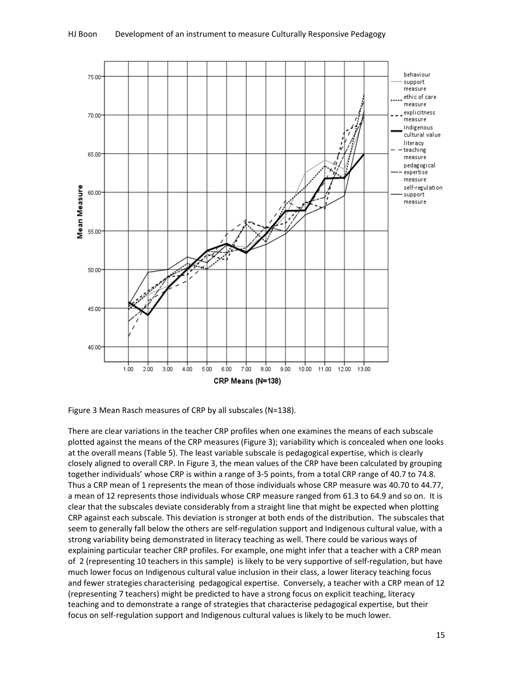

Figure 3 Mean Rasch measures of CRP by all subscales (N=138).

There are clear variations in the teacher CRP profiles when one examines the means of each subscale plotted against the means of the CRP measures (Figure 3); variability which is concealed when one looks at the overall means (Table 5). The least variable subscale is pedagogical expertise, which is clearly closely aligned to overall CRP. In Figure 3, the mean values of the CRP have been calculated by grouping together individuals' whose CRP is within a range of 3‐5 points, from a total CRP range of 40.7 to 74.8. Thus a CRP mean of 1 represents the mean of those individuals whose CRP measure was 40.70 to 44.77, a mean of 12 represents those individuals whose CRP measure ranged from 61.3 to 64.9 and so on. It is clear that the subscales deviate considerably from a straight line that might be expected when plotting CRP against each subscale. This deviation is stronger at both ends of the distribution. The subscales that seem to generally fall below the others are self-regulation support and Indigenous cultural value, with a strong variability being demonstrated in literacy teaching as well. There could be various ways of explaining particular teacher CRP profiles. For example, one might infer that a teacher with a CRP mean of 2 (representing 10 teachers in this sample) is likely to be very supportive of self‐regulation, but have much lower focus on Indigenous cultural value inclusion in their class, a lower literacy teaching focus and fewer strategies characterising pedagogical expertise. Conversely, a teacher with a CRP mean of 12 (representing 7 teachers) might be predicted to have a strong focus on explicit teaching, literacy teaching and to demonstrate a range of strategies that characterise pedagogical expertise, but their focus on self‐regulation support and Indigenous cultural values is likely to be much lower.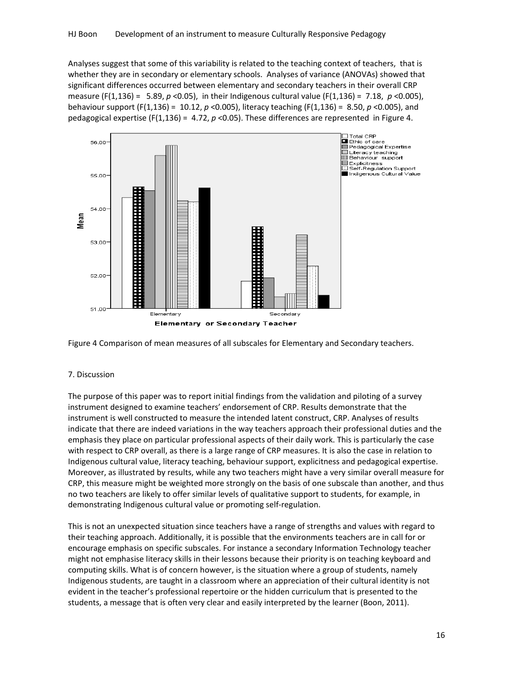Analyses suggest that some of this variability is related to the teaching context of teachers, that is whether they are in secondary or elementary schools. Analyses of variance (ANOVAs) showed that significant differences occurred between elementary and secondary teachers in their overall CRP measure (F(1,136) = 5.89, *p* <0.05), in their Indigenous cultural value (F(1,136) = 7.18, *p* <0.005), behaviour support (F(1,136) = 10.12, *p* <0.005), literacy teaching (F(1,136) = 8.50, *p* <0.005), and pedagogical expertise (F(1,136) = 4.72, *p* <0.05). These differences are represented in Figure 4.



Figure 4 Comparison of mean measures of all subscales for Elementary and Secondary teachers.

# 7. Discussion

The purpose of this paper was to report initial findings from the validation and piloting of a survey instrument designed to examine teachers' endorsement of CRP. Results demonstrate that the instrument is well constructed to measure the intended latent construct, CRP. Analyses of results indicate that there are indeed variations in the way teachers approach their professional duties and the emphasis they place on particular professional aspects of their daily work. This is particularly the case with respect to CRP overall, as there is a large range of CRP measures. It is also the case in relation to Indigenous cultural value, literacy teaching, behaviour support, explicitness and pedagogical expertise. Moreover, as illustrated by results, while any two teachers might have a very similar overall measure for CRP, this measure might be weighted more strongly on the basis of one subscale than another, and thus no two teachers are likely to offer similar levels of qualitative support to students, for example, in demonstrating Indigenous cultural value or promoting self‐regulation.

This is not an unexpected situation since teachers have a range of strengths and values with regard to their teaching approach. Additionally, it is possible that the environments teachers are in call for or encourage emphasis on specific subscales. For instance a secondary Information Technology teacher might not emphasise literacy skills in their lessons because their priority is on teaching keyboard and computing skills. What is of concern however, is the situation where a group of students, namely Indigenous students, are taught in a classroom where an appreciation of their cultural identity is not evident in the teacher's professional repertoire or the hidden curriculum that is presented to the students, a message that is often very clear and easily interpreted by the learner (Boon, 2011).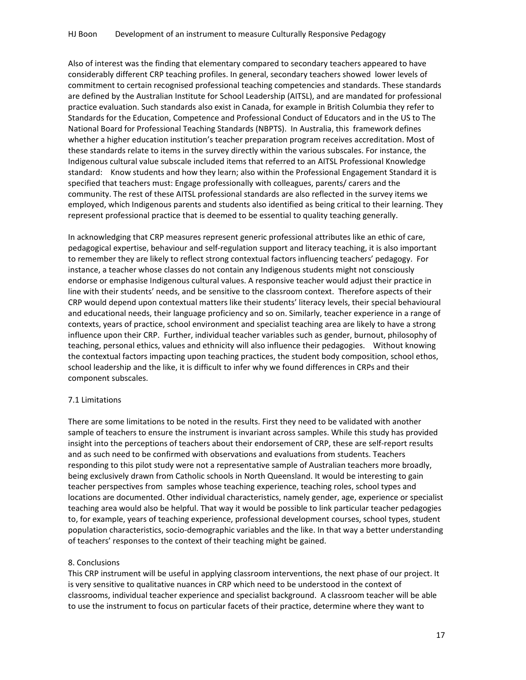Also of interest was the finding that elementary compared to secondary teachers appeared to have considerably different CRP teaching profiles. In general, secondary teachers showed lower levels of commitment to certain recognised professional teaching competencies and standards. These standards are defined by the Australian Institute for School Leadership (AITSL), and are mandated for professional practice evaluation. Such standards also exist in Canada, for example in British Columbia they refer to Standards for the Education, Competence and Professional Conduct of Educators and in the US to The National Board for Professional Teaching Standards (NBPTS). In Australia, this framework defines whether a higher education institution's teacher preparation program receives accreditation. Most of these standards relate to items in the survey directly within the various subscales. For instance, the Indigenous cultural value subscale included items that referred to an AITSL Professional Knowledge standard: Know students and how they learn; also within the Professional Engagement Standard it is specified that teachers must: Engage professionally with colleagues, parents/ carers and the community. The rest of these AITSL professional standards are also reflected in the survey items we employed, which Indigenous parents and students also identified as being critical to their learning. They represent professional practice that is deemed to be essential to quality teaching generally.

In acknowledging that CRP measures represent generic professional attributes like an ethic of care, pedagogical expertise, behaviour and self‐regulation support and literacy teaching, it is also important to remember they are likely to reflect strong contextual factors influencing teachers' pedagogy. For instance, a teacher whose classes do not contain any Indigenous students might not consciously endorse or emphasise Indigenous cultural values. A responsive teacher would adjust their practice in line with their students' needs, and be sensitive to the classroom context. Therefore aspects of their CRP would depend upon contextual matters like their students' literacy levels, their special behavioural and educational needs, their language proficiency and so on. Similarly, teacher experience in a range of contexts, years of practice, school environment and specialist teaching area are likely to have a strong influence upon their CRP. Further, individual teacher variables such as gender, burnout, philosophy of teaching, personal ethics, values and ethnicity will also influence their pedagogies. Without knowing the contextual factors impacting upon teaching practices, the student body composition, school ethos, school leadership and the like, it is difficult to infer why we found differences in CRPs and their component subscales.

# 7.1 Limitations

There are some limitations to be noted in the results. First they need to be validated with another sample of teachers to ensure the instrument is invariant across samples. While this study has provided insight into the perceptions of teachers about their endorsement of CRP, these are self-report results and as such need to be confirmed with observations and evaluations from students. Teachers responding to this pilot study were not a representative sample of Australian teachers more broadly, being exclusively drawn from Catholic schools in North Queensland. It would be interesting to gain teacher perspectives from samples whose teaching experience, teaching roles, school types and locations are documented. Other individual characteristics, namely gender, age, experience or specialist teaching area would also be helpful. That way it would be possible to link particular teacher pedagogies to, for example, years of teaching experience, professional development courses, school types, student population characteristics, socio‐demographic variables and the like. In that way a better understanding of teachers' responses to the context of their teaching might be gained.

## 8. Conclusions

This CRP instrument will be useful in applying classroom interventions, the next phase of our project. It is very sensitive to qualitative nuances in CRP which need to be understood in the context of classrooms, individual teacher experience and specialist background. A classroom teacher will be able to use the instrument to focus on particular facets of their practice, determine where they want to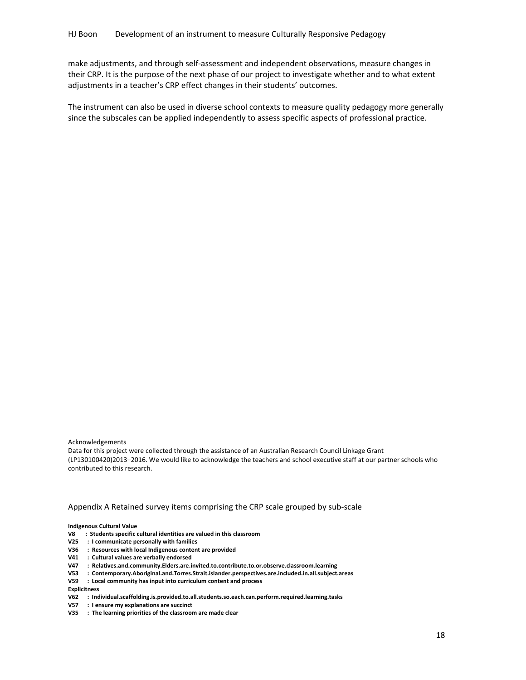make adjustments, and through self‐assessment and independent observations, measure changes in their CRP. It is the purpose of the next phase of our project to investigate whether and to what extent adjustments in a teacher's CRP effect changes in their students' outcomes.

The instrument can also be used in diverse school contexts to measure quality pedagogy more generally since the subscales can be applied independently to assess specific aspects of professional practice.

Acknowledgements

Data for this project were collected through the assistance of an Australian Research Council Linkage Grant (LP130100420)2013–2016. We would like to acknowledge the teachers and school executive staff at our partner schools who contributed to this research.

Appendix A Retained survey items comprising the CRP scale grouped by sub‐scale

**Indigenous Cultural Value**

- **V8 : Students specific cultural identities are valued in this classroom**
- **V25 : I communicate personally with families**
- **V36 : Resources with local Indigenous content are provided**
- **V41 : Cultural values are verbally endorsed**
- **V47 : Relatives.and.community.Elders.are.invited.to.contribute.to.or.observe.classroom.learning**
- **V53 : Contemporary.Aboriginal.and.Torres.Strait.islander.perspectives.are.included.in.all.subject.areas**
- **V59 : Local community has input into curriculum content and process**

**Explicitness**

- **V62 : Individual.scaffolding.is.provided.to.all.students.so.each.can.perform.required.learning.tasks**
- **V57 : I ensure my explanations are succinct**
- **V35 : The learning priorities of the classroom are made clear**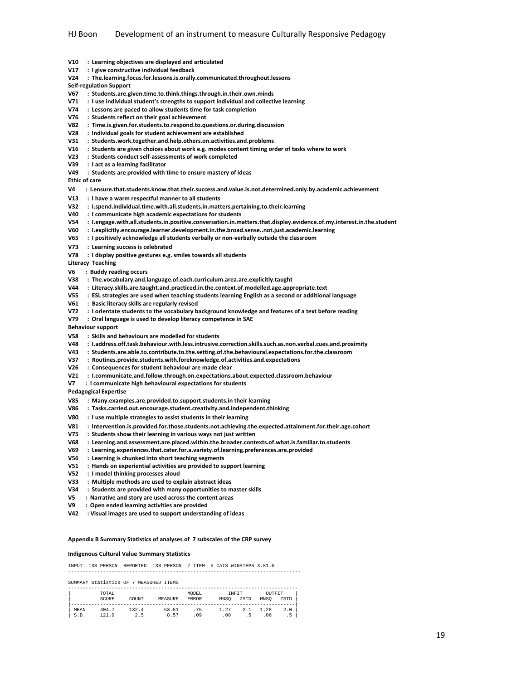- **V10 : Learning objectives are displayed and articulated**
- **V17 : I give constructive individual feedback**
- **V24 : The.learning.focus.for.lessons.is.orally.communicated.throughout.lessons**
- **Self‐regulation Support**
- **V67 : Students.are.given.time.to.think.things.through.in.their.own.minds**
- **V71 : I use individual student's strengths to support individual and collective learning**
- **V74 : Lessons are paced to allow students time for task completion**
- **V76 : Students reflect on their goal achievement**
- **V82 : Time.is.given.for.students.to.respond.to.questions.or.during.discussion**
- **V28 : Individual goals for student achievement are established**
- **V31 : Students.work.together.and.help.others.on.activities.and.problems**
- V16 : Students are given choices about work e.g. modes content timing order of tasks where to work
- **V23 : Students conduct self‐assessments of work completed**
- **V39 : I act as a learning facilitator**
- **V49 : Students are provided with time to ensure mastery of ideas**

**Ethic of care**

- **V4 : I.ensure.that.students.know.that.their.success.and.value.is.not.determined.only.by.academic.achievement**
- **V13 : I have a warm respectful manner to all students**
- **V32 : I.spend.individual.time.with.all.students.in.matters.pertaining.to.their.learning**
- **V40 : I communicate high academic expectations for students**
- **V54 : I.engage.with.all.students.in.positive.conversation.in.matters.that.display.evidence.of.my.interest.in.the.student**
- **V60 : I.explicitly.encourage.learner.development.in.the.broad.sense..not.just.academic.learning**
- **V65 : I positively acknowledge all students verbally or non‐verbally outside the classroom**
- **V73 : Learning success is celebrated**
- **V78 : I display positive gestures e.g. smiles towards all students**

**Literacy Teaching** 

- **V6 : Buddy reading occurs**
- **V38 : The.vocabulary.and.language.of.each.curriculum.area.are.explicitly.taught**
- **V44 : Literacy.skills.are.taught.and.practiced.in.the.context.of.modelled.age.appropriate.text**
- V55 : ESL strategies are used when teaching students learning English as a second or additional language
- **V61 : Basic literacy skills are regularly revised**
- V72 : I orientate students to the vocabulary background knowledge and features of a text before reading
- **V79 : Oral language is used to develop literacy competence in SAE**
- **Behaviour support**
- **V58 : Skills and behaviours are modelled for students**
- **V48 : I.address.off.task.behaviour.with.less.intrusive.correction.skills.such.as.non.verbal.cues.and.proximity**
- **V43 : Students.are.able.to.contribute.to.the.setting.of.the.behavioural.expectations.for.the.classroom**
- **V37 : Routines.provide.students.with.foreknowledge.of.activities.and.expectations**
- **V26 : Consequences for student behaviour are made clear**
- **V21 : I.communicate.and.follow.through.on.expectations.about.expected.classroom.behaviour**
- **V7 : I communicate high behavioural expectations for students**

**Pedagogical Expertise**

- **V85 : Many.examples.are.provided.to.support.students.in their learning**
- **V86 : Tasks.carried.out.encourage.student.creativity.and.independent.thinking**
- **V80 : I use multiple strategies to assist students in their learning**
- **V81 : Intervention.is.provided.for.those.students.not.achieving.the.expected.attainment.for.their.age.cohort**
- **V75 : Students show their learning in various ways not just written**
- **V68 : Learning.and.assessment.are.placed.within.the.broader.contexts.of.what.is.familiar.to.students**
- **V69 : Learning.experiences.that.cater.for.a.variety.of.learning.preferences.are.provided**
- **V56 : Learning is chunked into short teaching segments**
- **V51 : Hands on experiential activities are provided to support learning**
- **V52 : I model thinking processes aloud**
- V33 : Multiple methods are used to explain abstract ideas
- **V34 : Students are provided with many opportunities to master skills**
- **V5 : Narrative and story are used across the content areas**
- **V9 : Open ended learning activities are provided**
- **V42 : Visual images are used to support understanding of ideas**

#### **Appendix B Summary Statistics of analyses of 7 subscales of the CRP survey**

#### **Indigenous Cultural Value Summary Statistics**

INPUT: 138 PERSON REPORTED: 138 PERSON 7 ITEM 5 CATS WINSTEPS 3.81.0 --------------------------------------------------------------------------------

SUMMARY Statistics OF 7 MEASURED ITEMS

|             | TOTAL |       |         | MODEL        | <b>TNFTT</b> |                 | OUTFIT      |      |
|-------------|-------|-------|---------|--------------|--------------|-----------------|-------------|------|
|             | SCORE | COUNT | MEASURE | <b>ERROR</b> | MNSO         | ZSTD            | <b>MNSO</b> | ZSTD |
|             |       |       |         |              |              |                 |             |      |
| <b>MEAN</b> | 404.7 | 132.4 | 53.51   | .75          | 1.27         | 2.1             | 1.28        | 2.0  |
| S.D.        | 121.9 | 2.5   | 8.57    | 09           | .08          | .5 <sub>1</sub> | .06         | . .  |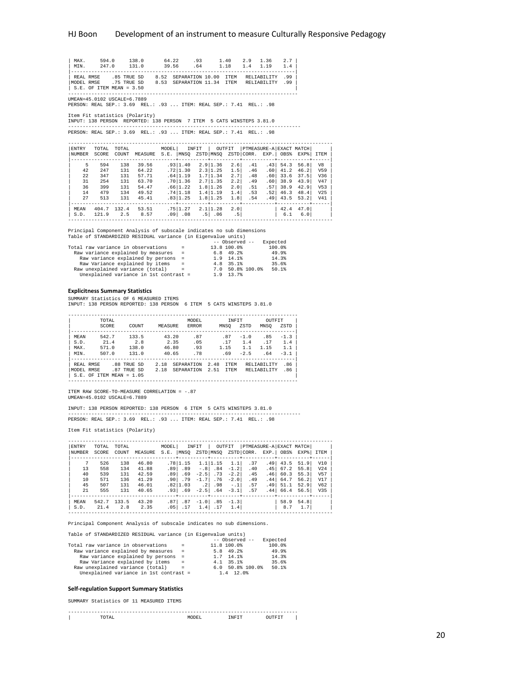| MAX.       | 594.0                             | 138.0       | 64.22                 | .93 | 1.40                  | 2.9 | 1.36        | 2.7 |
|------------|-----------------------------------|-------------|-----------------------|-----|-----------------------|-----|-------------|-----|
| MTN.       | 247.0                             | 131.0       | 39.56                 | .64 | 1.18                  | 1.4 | 1.19        | 1.4 |
|            |                                   |             |                       |     |                       |     |             |     |
| REAL RMSE  |                                   | .85 TRUE SD | 8.52 SEPARATION 10.00 |     | <b>TTEM</b>           |     | RELIABILITY | .99 |
| MODEL RMSE |                                   | .75 TRUE SD | 8.53                  |     | SEPARATION 11.34 TTEM |     | RELIABILITY | .99 |
|            | $\sqrt{S.R.}$ OF TTEM MEAN = 3.50 |             |                       |     |                       |     |             |     |
|            |                                   |             |                       |     |                       |     |             |     |
|            | UMEAN=45.0102 USCALE=6.7889       |             |                       |     |                       |     |             |     |

UMEAN=45.0102 USCALE=6.7889 PERSON: REAL SEP.: 3.69 REL.: .93 ... ITEM: REAL SEP.: 7.41 REL.: .98

Item Fit statistics (Polarity) INPUT: 138 PERSON REPORTED: 138 PERSON 7 ITEM 5 CATS WINSTEPS 3.81.0

-------------------------------------------------------------------------------- PERSON: REAL SEP.: 3.69 REL.: .93 ... ITEM: REAL SEP.: 7.41 REL.: .98

| <b>ENTRY</b><br><b>NUMBER</b> | TOTAL<br>SCORE | TOTAL<br>COUNT | MEASURE        | MODEL<br>S.E.    | <b>MNSO</b>          | INFIT           | ZSTD MNSO                  | OUTFIT     | PTMEASURE-A EXACT MATCH<br>ZSTD CORR. | EXP.                     | OBS <sup>8</sup> | EXP%         | ITEM       |
|-------------------------------|----------------|----------------|----------------|------------------|----------------------|-----------------|----------------------------|------------|---------------------------------------|--------------------------|------------------|--------------|------------|
| 5<br>42                       | 594<br>247     | 138<br>131     | 39.56<br>64.22 |                  | .93 1.40<br>.72 1.30 |                 | 2.91.36<br>$2.3 \mid 1.25$ | 2.6<br>1.5 | .41<br>.46                            | .43 <sub>1</sub><br>.601 | 54.3<br>41.2     | 56.8<br>46.2 | V8<br>V59  |
| 22<br>31                      | 347<br>254     | 131<br>131     | 57.71<br>63.70 |                  | .64 1.19<br>.7011.36 |                 | 1.7 1.34<br>2.71.35        | 2.7<br>2.2 | .48<br>.49                            | .60<br>.60               | 33.6<br>38.9     | 37.5<br>43.9 | V36<br>V47 |
| 36<br>14                      | 399<br>479     | 131<br>134     | 54.47<br>49.52 |                  | .66 1.22<br>.74 1.18 |                 | 1.8 1.26<br>1.4 1.19       | 2.0<br>1.4 | .51<br>.53                            | .57<br>.52 <sub>1</sub>  | 38.9<br>46.3     | 42.9<br>48.4 | V53<br>V25 |
| 27                            | 513            | 131            | 45.41          |                  | .83 1.25             |                 | 1.8 1.25                   | 1.8        | .54                                   | .49 <sub>1</sub>         | 43.5             | 53.2         | V41        |
| <b>MEAN</b><br>S.D.           | 404.7<br>121.9 | 132.4<br>2.5   | 53.51<br>8.57  | .09 <sub>1</sub> | .7511.27<br>.08      | .5 <sub>1</sub> | $2.1$   1.28<br>.06        | 2.0<br>.5  |                                       |                          | 42.4<br>6.1      | 47.0<br>6.0  |            |

Principal Component Analysis of subscale indicates no sub dimensions Table of STANDARDIZED RESIDUAL variance (in Eigenvalue units)

|                                           |  | -- Observed --   | Expected |
|-------------------------------------------|--|------------------|----------|
| Total raw variance in observations<br>$=$ |  | 13.8 100.0%      | 100.0%   |
| Raw variance explained by measures<br>$=$ |  | $6.8$ 49.2%      | 49.9%    |
| Raw variance explained by persons<br>$=$  |  | $1.9$ $14.1%$    | 14.3%    |
| Raw Variance explained by items<br>$=$    |  | $4.8$ 35.1%      | 35.6%    |
| Raw unexplained variance (total)<br>$=$   |  | 7.0 50.8% 100.0% | 50.1%    |
| Unexplained variance in 1st contrast =    |  | $1.9$ 13.7%      |          |

#### **Explicitness Summary Statistics**

SUMMARY Statistics OF 6 MEASURED ITEMS INPUT: 138 PERSON REPORTED: 138 PERSON 6 ITEM 5 CATS WINSTEPS 3.81.0

|             | TOTAL.                     |             |         | MODEL.       | TNFTT               |        | <b>OUTFIT</b> |        |
|-------------|----------------------------|-------------|---------|--------------|---------------------|--------|---------------|--------|
|             | SCORE                      | COUNT       | MEASURE | <b>ERROR</b> | MNSO                | ZSTD   | MNSO          | ZSTD   |
| <b>MEAN</b> | 542.7                      | 133.5       | 43.20   | .87          | .87                 | $-1.0$ | .85           | $-1.3$ |
| S.D.        | 21.4                       | 2.8         | 2.35    | .05          | .17                 | 1.4    | .17           | 1.4    |
| MAX.        | 571.0                      | 138.0       | 46.80   | .93          | 1.15                | 1.1    | 1.15          | 1.1    |
| MTN.        | 507.0                      | 131.0       | 40.65   | .78          | .69                 | $-2.5$ | .64           | $-3.1$ |
| REAL RMSE   |                            | .88 TRUE SD | 2.18    | SEPARATION   | 2.48<br><b>TTEM</b> |        | RELIABILITY   | .86    |
| MODEL RMSE  | $S.E. OF ITEM MEAN = 1.05$ | .87 TRUE SD | 2.18    | SEPARATION   | 2.51<br><b>TTEM</b> |        | RELIABILITY   | .86    |

 ITEM RAW SCORE-TO-MEASURE CORRELATION = -.87 UMEAN=45.0102 USCALE=6.7889

INPUT: 138 PERSON REPORTED: 138 PERSON 6 ITEM 5 CATS WINSTEPS 3.81.0 -------------------------------------------------------------------------------- PERSON: REAL SEP.: 3.69 REL.: .93 ... ITEM: REAL SEP.: 7.41 REL.: .98

Item Fit statistics (Polarity)

| <b>ENTRY</b><br>NUMBER | TOTAL<br>SCORE | TOTAL.<br>COUNT | MEASURE       | MODEL<br>S.E.           |            | INFIT    |     | OUTFIT                     | PTMEASURE-A EXACT MATCH<br>MNSO ZSTD MNSO ZSTD CORR. EXP. OBS% |                  |             | EXP%        | ITEM            |
|------------------------|----------------|-----------------|---------------|-------------------------|------------|----------|-----|----------------------------|----------------------------------------------------------------|------------------|-------------|-------------|-----------------|
|                        |                |                 |               |                         |            |          |     |                            |                                                                |                  |             |             |                 |
| 7                      | 526            | 138             | 46.80         |                         | $.78$ 1.15 | 1.1 1.15 |     | 1.1                        | .37                                                            | .49 <sub>1</sub> |             | 43.5 51.9   | V10             |
| 13                     | 558            | 134             | 41.88         | .89 <sub>1</sub>        | .89        |          |     | $-.8$ $.84$ $-.2$          | .40                                                            | .45 <sub>1</sub> |             | $67.2$ 55.8 | V <sub>24</sub> |
| 40                     | 539            | 131             | 42.59         | .89 <sub>1</sub>        | .69        | $-2.5$   | .73 | $-2.2$                     | .45                                                            | .46              | 60.3        | 55.3        | V57             |
| 10                     | 571            | 136             | 41.29         | .90                     | .79        | $-1.7$   | .76 | $-2.0$                     | .49                                                            | .44              | 64.7        | 56.2        | V17             |
| 45                     | 507            | 131             | 46.01         |                         | .82 1.03   | .21      | .98 | $-.1$                      | .57                                                            | .49 <sub>1</sub> | 51.1        | 52.9        | V62             |
| 21                     | 555            | 131             | 40.65         |                         | .93 .69    | $-2.5$   | .64 | $-3.1$                     | .57                                                            | .44              | 66.4        | 56.5        | V35             |
| MEAN<br>S.D.           | 542.7<br>21.4  | 133.5<br>2.8    | 43.20<br>2.35 | .87 <sub>1</sub><br>.05 | .87<br>.17 | 1.4      | .17 | $-1.0$ $-85$ $-1.3$<br>1.4 |                                                                |                  | 58.9<br>8.7 | 54.8<br>1.7 |                 |

Principal Component Analysis of subscale indicates no sub dimensions.

Table of STANDARDIZED RESIDUAL variance (in Eigenvalue units)

| Table of pirmornbiano Robibono valiante (in sigenvalue antes) |                    |          |
|---------------------------------------------------------------|--------------------|----------|
|                                                               | -- Observed --     | Expected |
| Total raw variance in observations<br>$=$                     | 11.8 100.0%        | 100.0%   |
| Raw variance explained by measures<br>$=$                     | $5.8$ 49.2%        | 49.9%    |
| Raw variance explained by persons<br>$=$                      | $1.7$ $14.1%$      | 14.3%    |
| Raw Variance explained by items<br>$=$                        | $4.1$ $35.1%$      | 35.6%    |
| Raw unexplained variance (total)<br>$=$                       | $6.0$ 50.8% 100.0% | 50.1%    |
| Unexplained variance in 1st contrast =                        | $1.4$ 12.0%        |          |

### **Self‐regulation Support Summary Statistics**

SUMMARY Statistics OF 11 MEASURED ITEMS

| the contract of the contract of the contract of | м | <b>NH</b> |  |
|-------------------------------------------------|---|-----------|--|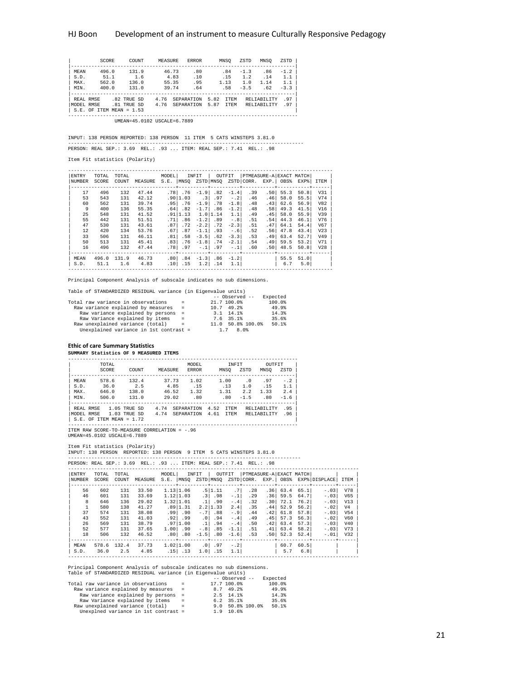|             | SCORE                      | COUNT       | MEASURE                     | <b>ERROR</b> | MNSO                | ZSTD   | <b>MNSO</b> | ZSTD   |  |
|-------------|----------------------------|-------------|-----------------------------|--------------|---------------------|--------|-------------|--------|--|
| <b>MEAN</b> | 496.0                      | 131.9       | 46.73                       | .80          | .84                 | $-1.3$ | .86         | $-1.2$ |  |
| S.D.        | 51.1                       | 1.6         | 4.83                        | .10          | .15                 | 1.2    | .14         | 1.1    |  |
| MAX.        | 562.0                      | 136.0       | 55.35                       | .95          | 1.13                | 1.0    | 1.14        | 1.1    |  |
| MTN.        | 400.0                      | 131.0       | 39.74                       | .64          | .58                 | $-3.5$ | .62         | $-3.3$ |  |
|             |                            |             |                             |              |                     |        |             |        |  |
| REAL RMSE   |                            | .82 TRUE SD | 4.76                        | SEPARATION   | <b>TTEM</b><br>5.82 |        | RELIABILITY | .97    |  |
| MODEL RMSE  |                            | .81 TRUE SD | 4.76                        | SEPARATION   | 5.87<br><b>TTEM</b> |        | RELIABILITY | .97    |  |
|             | $S.F. OF TTEM MEAN = 1.53$ |             |                             |              |                     |        |             |        |  |
|             |                            |             |                             |              |                     |        |             |        |  |
|             |                            |             | UMEAN=45.0102 USCALE=6.7889 |              |                     |        |             |        |  |

INPUT: 138 PERSON REPORTED: 138 PERSON 11 ITEM 5 CATS WINSTEPS 3.81.0 --------------------------------------------------------------------------------- PERSON: REAL SEP.: 3.69 REL.: .93 ... ITEM: REAL SEP.: 7.41 REL.: .98

# Item Fit statistics (Polarity)

| <b>ENTRY</b>  | TOTAL | TOTAL |         | MODEL                          |          | INFIT     |          | OUTFIT | PTMEASURE-A EXACT MATCH |     |           |      |                 |
|---------------|-------|-------|---------|--------------------------------|----------|-----------|----------|--------|-------------------------|-----|-----------|------|-----------------|
| <b>NUMBER</b> | SCORE | COUNT | MEASURE | S.E. MNSO ZSTD MNSO ZSTD CORR. |          |           |          |        |                         |     | EXP. OBS% | EXP% | ITEM            |
|               |       |       |         |                                |          |           |          |        |                         |     |           |      |                 |
| 17            | 496   | 132   | 47.44   | .78 <sub>1</sub>               | .76      | $-1.9$    | .82      | $-1.4$ | .39                     | .50 | 55.3      | 50.8 | V31             |
| 53            | 543   | 131   | 42.12   |                                | .9011.03 | $\cdot$ 3 | .97      | $-0.2$ | .46                     | .46 | 58.0      | 55.5 | V74             |
| 60            | 562   | 131   | 39.74   | .95 <sub>1</sub>               | .76      | $-1.9$    | .78      | $-1.8$ | .48                     | .43 | 62.6      | 56.9 | V82             |
| 9             | 400   | 136   | 55.35   | .64                            | .82      | $-1.7$    | .86      | $-1.2$ | .48                     | .58 | 49.3      | 41.5 | V16             |
| 25            | 548   | 131   | 41.52   |                                | .91 1.13 |           | 1.011.14 | 1.1    | .49                     | .45 | 58.0      | 55.9 | V39             |
| 55            | 442   | 131   | 51.51   | .71                            | .86      | $-1.2$    | .89      | $-.8$  | .51                     | .54 | 44.3      | 46.1 | V76             |
| 47            | 530   | 131   | 43.61   | .87                            | .72      | $-2.2$    | .72      | $-2.3$ | .51                     | .47 | 64.1      | 54.4 | V67             |
| 12            | 420   | 134   | 53.76   | .67                            | .87      | $-1.1$    | .93      | $-.6$  | .52                     | .56 | 47.8      | 43.4 | V <sub>23</sub> |
| 33            | 506   | 131   | 46.11   | .81                            | .58      | $-3.5$    | .62      | $-3.3$ | .53                     | .49 | 63.4      | 52.7 | V49             |
| 50            | 513   | 131   | 45.41   | .83                            | .76      | $-1.8$    | .74      | $-2.1$ | .54                     | .49 | 59.5      | 53.2 | V71             |
| 16            | 496   | 132   | 47.44   | .78 <sub>1</sub>               | .97      | $-1.1$    | .97      | $-1.1$ | .60                     | .50 | 48.5      | 50.8 | V28             |
|               |       |       |         |                                |          |           |          |        |                         |     |           |      |                 |
| <b>MEAN</b>   | 496.0 | 131.9 | 46.73   | .801                           | .84      | $-1.3$    | .86      | $-1.2$ |                         |     | 55.5      | 51.0 |                 |
| S.D.          | 51.1  | 1.6   | 4.83    | .10                            | .15      | 1.2       | .14      | 1.1    |                         |     | 6.7       | 5.0  |                 |

Principal Component Analysis of subscale indicates no sub dimensions.

Table of STANDARDIZED RESIDUAL variance (in Eigenvalue units)

|                                        |     | -- Observed --            | Expected |
|----------------------------------------|-----|---------------------------|----------|
| Total raw variance in observations     | $=$ | 21.7 100.0%               | 100.0%   |
| Raw variance explained by measures     | $=$ | $10.7$ 49.2%              | 49.9%    |
| Raw variance explained by persons      | $=$ | $3.1$ $14.1$ <sup>8</sup> | 14.3%    |
| Raw Variance explained by items        | $=$ | 7.6 35.1%                 | 35.6%    |
| Raw unexplained variance (total)       | $=$ | 11.0 50.8% 100.0%         | 50.1%    |
| Unexplained variance in 1st contrast = |     | $1.7$ 8.0 %               |          |

### **Ethic of care Summary Statistics**

**SUMMARY Statistics OF 9 MEASURED ITEMS** 

|             | TOTAL<br>SCORE                                                                          | COUNT        | MEASURE | MODEL<br><b>ERROR</b> | <b>MNSO</b> | TNFTT<br>ZSTD               | <b>OUTFIT</b><br>MNSO | ZSTD   |
|-------------|-----------------------------------------------------------------------------------------|--------------|---------|-----------------------|-------------|-----------------------------|-----------------------|--------|
| <b>MEAN</b> | 578.6                                                                                   | 132.4        | 37.73   | 1.02                  | 1.00        | $\overline{\phantom{0}}$ .0 | .97                   | $-1.2$ |
| S.D.        | 36.0                                                                                    | 2.5          | 4.85    | .15                   | .13         | 1.0                         | .15                   | 1.1    |
| MAX.        | 646.0                                                                                   | 138.0        | 46.52   | 1.32                  | 1.31        | 2.2                         | 1.33                  | 2.4    |
| MTN.        | 506.0                                                                                   | 131.0        | 29.02   | .80                   | .80         | $-1.5$                      | .80                   | $-1.6$ |
| REAL RMSE   | $ $ S.E. OF ITEM MEAN = 1.72                                                            | 1.05 TRUE SD | 4.74    | SEPARATION            | 4.52        | <b>TTEM</b>                 | RELIABILITY           | .95    |
| MODEL RMSE  |                                                                                         | 1.03 TRUE SD | 4.74    | SEPARATION            | 4.61        | <b>TTEM</b>                 | RELIABILITY           | .96    |
|             | ITEM RAW SCORE-TO-MEASURE CORRELATION = -. 96<br>$IMERAN = 45.0102$ $IISCATER = 6.7889$ |              |         |                       |             |                             |                       |        |

Item Fit statistics (Polarity) INPUT: 138 PERSON REPORTED: 138 PERSON 9 ITEM 5 CATS WINSTEPS 3.81.0 --------------------------------------------------------------------------------

| PERSON: REAL SEP.: 3.69 REL.: .93  ITEM: REAL SEP.: 7.41 REL.: .98 |  |  |  |  |  |  |  |
|--------------------------------------------------------------------|--|--|--|--|--|--|--|
|                                                                    |  |  |  |  |  |  |  |

| <b>ENTRY</b><br><b>NUMBER</b> | TOTAL<br>SCORE | TOTAL<br>COUNT | MEASURE | MODEL<br>S.E.    | MNSO      | INFIT           | ZSTD MNSO   | OUTFIT          | PTMEASURE-A EXACT MATCH<br>ZSTD CORR. | EXP. | OBS <sup>3</sup> |      | EXP% DISPLACE | ITEM           |
|-------------------------------|----------------|----------------|---------|------------------|-----------|-----------------|-------------|-----------------|---------------------------------------|------|------------------|------|---------------|----------------|
|                               |                |                |         |                  |           |                 |             |                 |                                       |      |                  |      |               |                |
| 56                            | 602            | 131            | 33.50   | 1.13 1.06        |           |                 | .511.11     | .7 <sub>1</sub> | .28                                   | .36  | 63.4             | 65.1 | $-.03$        | V78            |
| 46                            | 601            | 131            | 33.69   |                  | 1.12 1.03 | .3 <sub>1</sub> | .98         | $- . 1$         | .29                                   | .36  | 59.5             | 64.7 | $-.03$        | V65            |
| 8                             | 646            | 136            | 29.02   | 1.32 1.01        |           | $\cdot$ 1       | .90         | $-0.4$          | .32                                   | .30  | 72.1             | 76.2 | $-.03$        | V13            |
|                               | 580            | 138            | 41.27   |                  | .89 1.31  |                 | $2.2$  1.33 | 2.4             | .35                                   | .44  | 52.9             | 56.2 | $-.02$        | V <sub>4</sub> |
| 37                            | 574            | 131            | 38.08   | .99 <sub>1</sub> | .90       | $-0.7$          | .88         | $-.9$           | .44                                   | .42  | 61.8             | 57.8 | $-.03$        | V54            |
| 43                            | 552            | 131            | 41.03   | .92 <sub>1</sub> | .99       | .0              | .94         | $-.4$           | .49                                   | .45  | 57.3             | 56.3 | $-0.02$       | V60            |
| 26                            | 569            | 131            | 38.79   |                  | .97 1.00  | $\cdot$ 1       | .94         | $-.4$           | .50                                   | .42  | 63.4             | 57.3 | $-.03$        | V40            |
| 52                            | 577            | 131            | 37.65   | 1.00             | .90       | $-0.8$          | .85         | $-1.1$          | .51                                   | .41  | 63.4             | 58.2 | $-0.03$       | V73            |
| 18                            | 506            | 132            | 46.52   | .80              | .80       | $-1.5$          | .80         | $-1.6$          | .53                                   | .501 | 52.3             | 52.4 | $-.01$        | V32            |
| MEAN                          | 578.6          | 132.4          | 37.73   |                  | 1.02 1.00 | .0 <sub>1</sub> | .97         | $-0.2$          |                                       |      | 60.7             | 60.5 |               |                |
| S.D.                          | 36.0           | 2.5            | 4.85    | .15 <sub>1</sub> | .13       | 1.0             | .15         | 1.1             |                                       |      | 5.7              | 6.8  |               |                |

Principal Component Analysis of subscale indicates no sub dimensions. Table of STANDARDIZED RESIDUAL variance (in Eigenvalue units)

|     |                                                                  |                                                                   | Expected                           |
|-----|------------------------------------------------------------------|-------------------------------------------------------------------|------------------------------------|
| $=$ |                                                                  |                                                                   | 100.0%                             |
|     |                                                                  |                                                                   | 49.9%                              |
|     |                                                                  |                                                                   | 14.3%                              |
|     |                                                                  |                                                                   | 35.6%                              |
|     |                                                                  |                                                                   | 50.1%                              |
|     |                                                                  |                                                                   |                                    |
|     | $=$<br>$=$<br>$=$<br>$=$<br>Unexplned variance in 1st contrast = | 17.7 100.0%<br>8.749.2<br>$2.5$ 14.1%<br>$6.2$ 35.1%<br>1.9 10.6% | -- Observed --<br>9.0 50.8% 100.0% |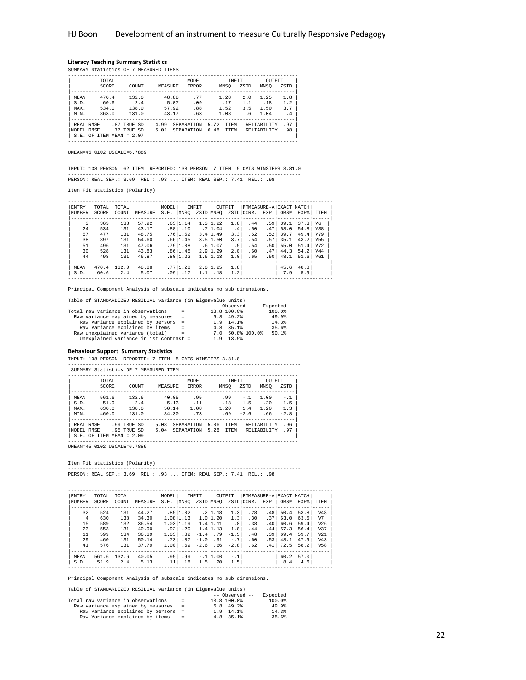# **Literacy Teaching Summary Statistics**

SUMMARY Statistics OF 7 MEASURED ITEMS

|             | TOTAL.                       |               |         | MODEL.            | <b>TNFTT</b>        |      | <b>OUTFIT</b> |      |
|-------------|------------------------------|---------------|---------|-------------------|---------------------|------|---------------|------|
|             | <b>SCORE</b>                 | COUNT         | MEASURE | <b>ERROR</b>      | MNSO                | ZSTD | MNSO          | ZSTD |
| <b>MEAN</b> | 470.4                        | 132.0         | 48.88   | .77               | 1.28                | 2.0  | 1.25          | 1.8  |
| S.D.        | 60.6                         | 2.4           | 5.07    | .09               | .17                 | 1.1  | .18           | 1.2  |
| MAX.        | 534.0                        | 138.0         | 57.92   | .88               | 1.52                | 3.5  | 1.50          | 3.7  |
| MTN.        | 363.0                        | 131.0         | 43.17   | .63               | 1.08                | .6   | 1.04          | .4   |
| REAL RMSE   |                              | $.87$ TRUE SD | 4.99    | <b>SEPARATION</b> | <b>TTEM</b><br>5.72 |      | RELIABILITY   | .97  |
| MODEL RMSE  | $S.E.$ OF ITEM MEAN = $2.07$ | .77 TRUE SD   | 5.01    | SEPARATION        | <b>TTEM</b><br>6.48 |      | RELIABILITY   | .98  |

UMEAN=45.0102 USCALE=6.7889

INPUT: 138 PERSON 62 ITEM REPORTED: 138 PERSON 7 ITEM 5 CATS WINSTEPS 3.81.0 -------------------------------------------------------------------------------- PERSON: REAL SEP.: 3.69 REL.: .93 ... ITEM: REAL SEP.: 7.41 REL.: .98

Item Fit statistics (Polarity)

| <b>ENTRY</b><br><b>NUMBER</b> | TOTAL<br>SCORE | TOTAL<br>COUNT | MEASURE        | MODEL<br>MNSO<br>S.E.  | INFIT | ZSTD MNSO          | OUTFIT     | PTMEASURE-A EXACT MATCH<br>ZSTD CORR. |             | EXP. OBS&    | EXP%         | ITEM       |
|-------------------------------|----------------|----------------|----------------|------------------------|-------|--------------------|------------|---------------------------------------|-------------|--------------|--------------|------------|
| 3                             | 363            | 138            | 57.92          | .63 1.14               |       | $1.3$ 1.22         | 1.8        | .44                                   | .59         | 39.1         | 37.3         | V6         |
| 24<br>57                      | 534<br>477     | 131<br>131     | 43.17<br>48.75 | .88 1.10<br>.76 1.52   |       | .71.04<br>3.4 1.49 | .4<br>3.3  | .50<br>.52                            | .47<br>.52  | 58.0<br>39.7 | 54.8<br>49.4 | V38<br>V79 |
| 38<br>51                      | 397<br>496     | 131<br>131     | 54.60<br>47.06 | .66 1.45<br>.7911.08   |       | 3.51.50<br>.6 1.07 | 3.7<br>.5  | .54<br>.54                            | .57<br>.501 | 35.1<br>55.0 | 43.2<br>51.4 | V55<br>V72 |
| 30                            | 528            | 131            | 43.83          | .86 1.45               |       | 2.91.29            | 2.0        | .60                                   | .47         | 44.3         | 54.2         | V44        |
| 44                            | 498            | 131            | 46.87          | .8011.22               |       | 1.6 1.13           | 1.0        | .65                                   | .501        | 48.1         | 51.6         | V61        |
| <b>MEAN</b><br>S.D.           | 470.4<br>60.6  | 132.0<br>2.4   | 48.88<br>5.07  | .77 1.28<br>.17<br>.09 | 1.1   | 2.011.25<br>.18    | 1.8<br>1.2 |                                       |             | 45.6<br>7.9  | 48.8<br>5.9  |            |

Principal Component Analysis of subscale indicates no sub dimensions.

Table of STANDARDIZED RESIDUAL variance (in Eigenvalue units)

|                                                 |  | -- Observed --   | Expected |       |
|-------------------------------------------------|--|------------------|----------|-------|
| Total raw variance in observations<br>$=$       |  | 13.8 100.0%      | 100.0%   |       |
| Raw variance explained by measures<br>$=$       |  | $6.8$ 49.2%      |          | 49.9% |
| Raw variance explained by persons<br>$=$        |  | $1.9$ 14.1%      |          | 14.3% |
| Raw Variance explained by items<br>$\mathbf{r}$ |  | $4.8$ 35.1 $%$   |          | 35.6% |
| Raw unexplained variance (total)<br>$=$         |  | 7.0 50.8% 100.0% |          | 50.1% |
| Unexplained variance in 1st contrast =          |  | $1.9$ 13.5%      |          |       |

#### **Behaviour Support Summary Statistics**

INPUT: 138 PERSON REPORTED: 7 ITEM 5 CATS WINSTEPS 3.81.0

-------------------------------------------------------------------------------- SUMMARY Statistics OF 7 MEASURED ITEM

|             | TOTAL.<br>SCORE             | COUNT         | MEASURE |      | MODEL.<br><b>ERROR</b> |      | TNFTT<br><b>MNSO</b> | ZSTD   | <b>OUTFIT</b><br>MNSO | ZSTD   |
|-------------|-----------------------------|---------------|---------|------|------------------------|------|----------------------|--------|-----------------------|--------|
|             |                             |               |         |      |                        |      |                      |        |                       |        |
| <b>MEAN</b> | 561.6                       | 132.6         | 40.05   |      | .95                    |      | .99                  | $-11$  | 1.00                  | $-1.1$ |
| S.D.        | 51.9                        | 2.4           |         | 5.13 | .11                    |      | .18                  | 1.5    | .20                   | 1.5    |
| MAX.        | 630.0                       | 138.0         | 50.14   |      | 1.08                   |      | 1.20                 | 1.4    | 1.20                  | 1.3    |
| MTN.        | 460.0                       | 131.0         | 34.30   |      | .73                    |      | .69                  | $-2.6$ | .66                   | $-2.8$ |
| REAL RMSE   |                             | $.99$ TRUE SD | 5.03    |      | SEPARATION             | 5.06 | <b>TTEM</b>          |        | RELIABILITY           | .96    |
| MODEL RMSE  | $S.F. OF TTRM MERAN = 2.09$ | $.95$ TRUE SD | 5.04    |      | SEPARATION             | 5.28 | <b>TTEM</b>          |        | RELIABILITY           | .97    |
|             |                             |               |         |      |                        |      |                      |        |                       |        |

Item Fit statistics (Polarity)

-------------------------------------------------------------------------------- PERSON: REAL SEP.: 3.69 REL.: .93 ... ITEM: REAL SEP.: 7.41 REL.: .98

| <b>ENTRY</b><br><b>NUMBER</b> | TOTAL<br>SCORE       | TOTAL<br>COUNT      | MEASURE                 | MODEL<br>S.E.                      | MNSO              | INFIT                | OUTFIT                          |                          | PTMEASURE-A EXACT MATCH<br>ZSTD MNSO ZSTD CORR. |                                             | EXP. OBS&            | EXP%                 | ITEM              |
|-------------------------------|----------------------|---------------------|-------------------------|------------------------------------|-------------------|----------------------|---------------------------------|--------------------------|-------------------------------------------------|---------------------------------------------|----------------------|----------------------|-------------------|
| 32<br>4<br>15                 | 524<br>630<br>589    | 131<br>138<br>132   | 44.27<br>34.30<br>36.54 | .85 1.02<br>1.0811.13<br>1.03 1.19 |                   | .2 1.18              | 1.011.20<br>1.4 1.11            | 1.3<br>1.3<br>.8         | .28<br>.30<br>.38                               | .48 <sup>°</sup><br>.37 <sup>1</sup><br>.40 | 50.4<br>63.0<br>60.6 | 53.8<br>63.5<br>59.4 | V48<br>V7<br>V26  |
| 23<br>11<br>29                | 553<br>599<br>460    | 131<br>134<br>131   | 40.90<br>36.39<br>50.14 | .92 1.20<br>1.03<br>.73            | .82<br>.87        | $-1.4$<br>$-1.0$ .91 | 1.4 1.13<br>.79                 | 1.0<br>$-1.5$<br>$-0.71$ | .44<br>.48<br>.60                               | .44 <br>.39<br>.53 <sup>1</sup>             | 57.3<br>69.4<br>48.1 | 56.4<br>59.7<br>47.9 | V37<br>V21<br>V43 |
| 41<br>MEAN<br>S.D.            | 576<br>561.6<br>51.9 | 131<br>132.6<br>2.4 | 37.79<br>40.05<br>5.13  | 1.00<br>.95 <sub>1</sub><br>.11    | .69<br>.99<br>.18 | $-2.6$               | .66<br>$-.111.00$<br>$1.5$ . 20 | $-2.8$<br>$-11$<br>1.5   | .62                                             | .41                                         | 72.5<br>60.2<br>8.4  | 58.2<br>57.0<br>4.6  | V58               |

Principal Component Analysis of subscale indicates no sub dimensions.

Table of STANDARDIZED RESIDUAL variance (in Eigenvalue units)

|                                     |     | -- Observed -- | Expected |
|-------------------------------------|-----|----------------|----------|
| Total raw variance in observations  | $=$ | 13.8 100.0%    | 100.0%   |
| Raw variance explained by measures  | $=$ | $6.8$ 49.2%    | 49.9%    |
| Raw variance explained by persons = |     | $1.9$ $14.1%$  | 14.3%    |
| Raw Variance explained by items     | $=$ | $4.8$ 35.1%    | 35.6%    |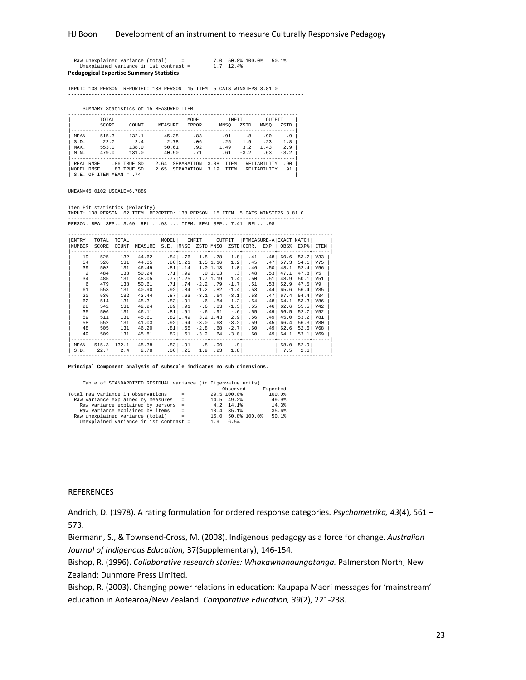Raw unexplained variance (total) =  $7.0\,50.8\%$  100.0% 50.1%<br>Unexplained variance in 1st contrast =  $1.7\,12.4\%$ **Pedagogical Expertise Summary Statistics**

INPUT: 138 PERSON REPORTED: 138 PERSON 15 ITEM 5 CATS WINSTEPS 3.81.0 **---------------------------------------------------------------------------------** 

SUMMARY Statistics of 15 MEASURED ITEM

| TOTAL.               |       |                                                  | MODEL.       |                                 | <b>TNFTT</b> |                                                                        |                                             |
|----------------------|-------|--------------------------------------------------|--------------|---------------------------------|--------------|------------------------------------------------------------------------|---------------------------------------------|
| SCORE                | COUNT | MEASURE                                          | <b>ERROR</b> |                                 | ZSTD         | <b>MNSO</b>                                                            | ZSTD                                        |
| 515.3<br><b>MEAN</b> | 132.1 | 45.38                                            | .83          |                                 | $-0.8$       | .90                                                                    | $-0.9$                                      |
| 22.7                 | 2.4   | 2.78                                             | .06          |                                 | 1.9          | .23                                                                    | 1.8                                         |
| 553.0                | 138.0 | 50.61                                            | .92          |                                 | 3.2          | 1.43                                                                   | 2.9                                         |
| 479.0                | 131.0 | 40.90                                            | .71          |                                 | $-3.2$       | .63                                                                    | $-3.2$                                      |
| REAL RMSE            |       | 2.64                                             |              | 3.08                            |              |                                                                        | .90                                         |
| MODEL RMSE           |       | 2.65                                             |              | 3.19                            |              |                                                                        | .91                                         |
|                      | S.F.  | .86 TRUE SD<br>.83 TRUE SD<br>OF ITEM MEAN = .74 |              | <b>SEPARATION</b><br>SEPARATION |              | <b>MNSO</b><br>.91<br>.25<br>1.49<br>.61<br><b>TTEM</b><br><b>TTEM</b> | <b>OUTFIT</b><br>RELIABILITY<br>RELIABILITY |

UMEAN=45.0102 USCALE=6.7889

Item Fit statistics (Polarity) INPUT: 138 PERSON 62 ITEM REPORTED: 138 PERSON 15 ITEM 5 CATS WINSTEPS 3.81.0 --------------------------------------------------------------------------------- PERSON: REAL SEP.: 3.69 REL.: .93 ... ITEM: REAL SEP.: 7.41 REL.: .98

| <b>ENTRY</b>   | TOTAL | TOTAL |         | MODEL        | INFIT  |             | OUTFIT    |            |     |           | PTMEASURE-A EXACT MATCH |                 |
|----------------|-------|-------|---------|--------------|--------|-------------|-----------|------------|-----|-----------|-------------------------|-----------------|
| <b>NUMBER</b>  | SCORE | COUNT | MEASURE | MNSO<br>S.E. |        | ZSTD MNSO   |           | ZSTD CORR. |     | EXP. OBS% | EXP%                    | ITEM            |
|                |       |       |         |              |        |             |           |            |     |           |                         |                 |
| 19             | 525   | 132   | 44.62   | $.84$ $.76$  |        | $-1.8$ . 78 | $-1.8$    | .41        | .48 | 60.6      | 53.7                    | V33             |
| 54             | 526   | 131   | 44.05   | .86 1.21     |        | 1.5 1.16    | 1.2       | .45        | .47 | 57.3      | 54.1                    | V75             |
| 39             | 502   | 131   | 46.49   | .81 1.14     |        | 1.0 1.13    | 1.0       | .46        | .50 | 48.1      | 52.4                    | V56             |
| $\overline{2}$ | 484   | 138   | 50.24   | .71<br>.99   |        | .011.03     | $\cdot$ 3 | .48        | .53 | 47.1      | 47.8                    | V <sub>5</sub>  |
| 34             | 485   | 131   | 48.05   | .77 1.25     |        | 1.7 1.19    | 1.4       | .50        | .51 | 48.9      | 50.1                    | V51             |
| 6              | 479   | 138   | 50.61   | .71<br>.74   | $-2.2$ | .79         | $-1.7$    | .51        | .53 | 52.9      | 47.5                    | V <sub>9</sub>  |
| 61             | 553   | 131   | 40.90   | .92<br>.84   | $-1.2$ | .82         | $-1.4$    | .53        | .44 | 65.6      | 56.4                    | V85             |
| 20             | 536   | 132   | 43.44   | .87<br>.63   | $-3.1$ | .64         | $-3.1$    | .53        | .47 | 67.4      | 54.4                    | V34             |
| 62             | 514   | 131   | 45.31   | .83<br>.91   | $-0.6$ | .84         | $-1.2$    | .54        | .48 | 64.1      | 53.3                    | V86             |
| 28             | 542   | 131   | 42.24   | .89<br>.91   | $-0.6$ | .83         | $-1.3$    | .55        | .46 | 62.6      | 55.5                    | V42             |
| 35             | 506   | 131   | 46.11   | .81<br>.91   | $-0.6$ | .91         | $-0.6$    | .55        | .49 | 56.5      | 52.7                    | V <sub>52</sub> |
| 59             | 511   | 131   | 45.61   | .82<br>1.49  | 3.2    | 1.43        | 2.9       | .56        | .49 | 45.0      | 53.2                    | V81             |
| 58             | 552   | 131   | 41.03   | .92<br>.64   | $-3.0$ | .63         | $-3.2$    | .59        | .45 | 66.4      | 56.3                    | V80             |
| 48             | 505   | 131   | 46.20   | .81<br>.65   | $-2.8$ | .68         | $-2.7$    | .60        | .49 | 62.6      | 52.6                    | V68             |
| 49             | 509   | 131   | 45.81   | .82<br>.61   | $-3.2$ | .64         | $-3.0$    | .60        | .49 | 64.1      | 53.1                    | V69             |
|                |       |       |         |              |        |             |           |            |     |           |                         |                 |
| <b>MEAN</b>    | 515.3 | 132.1 | 45.38   | .83<br>.91   | $-0.8$ | .90         | $-0.9$    |            |     | 58.0      | 52.9                    |                 |
| S.D.           | 22.7  | 2.4   | 2.78    | .25<br>.06   | 1.9    | .23         | 1.8       |            |     | 7.5       | 2.6                     |                 |
|                |       |       |         |              |        |             |           |            |     |           |                         |                 |

**Principal Component Analysis of subscale indicates no sub dimensions.** 

| Table of STANDARDIZED RESIDUAL variance (in Eigenvalue units) |                            |
|---------------------------------------------------------------|----------------------------|
|                                                               | -- Observed --<br>Expected |
| Total raw variance in observations                            | 100.0%                     |
| $\equiv$                                                      | 29.5 100.0%                |
| Raw variance explained by measures                            | 49.9%                      |
| $=$                                                           | 14.5 49.2%                 |
| Raw variance explained by persons                             | $4.2$ 14.1%                |
| $\mathbf{r}$                                                  | 14.3%                      |
| Raw Variance explained by items                               | 35.6%                      |
| $=$                                                           | $10.4$ $35.1%$             |
| Raw unexplained variance (total)                              | 15.0 50.8% 100.0%          |
| $\alpha$ and $\alpha$                                         | 50.1%                      |
| Unexplained variance in 1st contrast =                        | 6.5%<br>1.9                |
|                                                               |                            |

## **REFERENCES**

Andrich, D. (1978). A rating formulation for ordered response categories. *Psychometrika, 43*(4), 561 – 573.

Biermann, S., & Townsend‐Cross, M. (2008). Indigenous pedagogy as a force for change. *Australian Journal of Indigenous Education,* 37(Supplementary), 146‐154.

Bishop, R. (1996). *Collaborative research stories: Whakawhanaungatanga.* Palmerston North, New Zealand: Dunmore Press Limited.

Bishop, R. (2003). Changing power relations in education: Kaupapa Maori messages for 'mainstream' education in Aotearoa/New Zealand. *Comparative Education, 39*(2), 221‐238.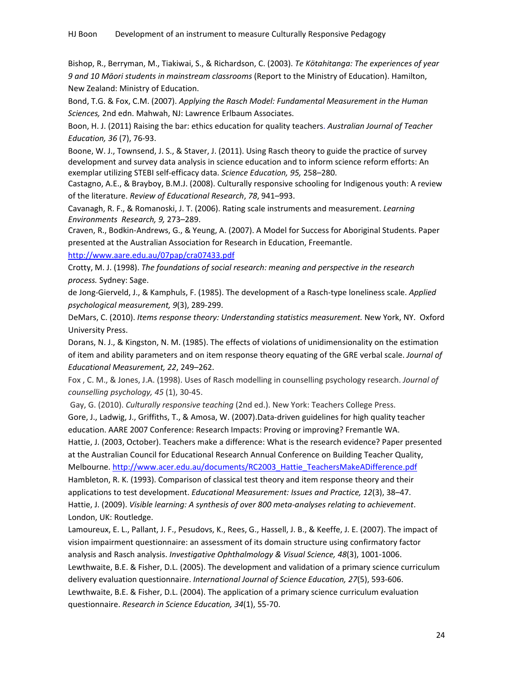Bishop, R., Berryman, M., Tiakiwai, S., & Richardson, C. (2003). *Te Kötahitanga: The experiences of year 9 and 10 Māori students in mainstream classrooms* (Report to the Ministry of Education). Hamilton, New Zealand: Ministry of Education.

Bond, T.G. & Fox, C.M. (2007). *Applying the Rasch Model: Fundamental Measurement in the Human Sciences,* 2nd edn. Mahwah, NJ: Lawrence Erlbaum Associates.

Boon, H. J. (2011) Raising the bar: ethics education for quality teachers. *Australian Journal of Teacher Education, 36* (7), 76‐93.

Boone, W. J., Townsend, J. S., & Staver, J. (2011). Using Rasch theory to guide the practice of survey development and survey data analysis in science education and to inform science reform efforts: An exemplar utilizing STEBI self‐efficacy data. *Science Education, 95,* 258–280.

Castagno, A.E., & Brayboy, B.M.J. (2008). Culturally responsive schooling for Indigenous youth: A review of the literature. *Review of Educational Research*, *78*, 941–993.

Cavanagh, R. F., & Romanoski, J. T. (2006). Rating scale instruments and measurement. *Learning Environments Research, 9,* 273–289.

Craven, R., Bodkin‐Andrews, G., & Yeung, A. (2007). A Model for Success for Aboriginal Students. Paper presented at the Australian Association for Research in Education, Freemantle.

http://www.aare.edu.au/07pap/cra07433.pdf

Crotty, M. J. (1998). *The foundations of social research: meaning and perspective in the research process.* Sydney: Sage.

de Jong‐Gierveld, J., & Kamphuls, F. (1985). The development of a Rasch‐type loneliness scale. *Applied psychological measurement, 9*(3), 289‐299.

DeMars, C. (2010). *Items response theory: Understanding statistics measurement.* New York, NY. Oxford University Press.

Dorans, N. J., & Kingston, N. M. (1985). The effects of violations of unidimensionality on the estimation of item and ability parameters and on item response theory equating of the GRE verbal scale. *Journal of Educational Measurement, 22*, 249–262.

Fox , C. M., & Jones, J.A. (1998). Uses of Rasch modelling in counselling psychology research. *Journal of counselling psychology, 45* (1), 30‐45.

Gay, G. (2010). *Culturally responsive teaching* (2nd ed.). New York: Teachers College Press.

Gore, J., Ladwig, J., Griffiths, T., & Amosa, W. (2007).Data‐driven guidelines for high quality teacher education. AARE 2007 Conference: Research Impacts: Proving or improving? Fremantle WA.

Hattie, J. (2003, October). Teachers make a difference: What is the research evidence? Paper presented at the Australian Council for Educational Research Annual Conference on Building Teacher Quality, Melbourne. http://www.acer.edu.au/documents/RC2003\_Hattie\_TeachersMakeADifference.pdf Hambleton, R. K. (1993). Comparison of classical test theory and item response theory and their applications to test development. *Educational Measurement: Issues and Practice, 12*(3), 38–47. Hattie, J. (2009). *Visible learning: A synthesis of over 800 meta‐analyses relating to achievement*. London, UK: Routledge.

Lamoureux, E. L., Pallant, J. F., Pesudovs, K., Rees, G., Hassell, J. B., & Keeffe, J. E. (2007). The impact of vision impairment questionnaire: an assessment of its domain structure using confirmatory factor analysis and Rasch analysis. *Investigative Ophthalmology & Visual Science, 48*(3), 1001‐1006. Lewthwaite, B.E. & Fisher, D.L. (2005). The development and validation of a primary science curriculum delivery evaluation questionnaire. *International Journal of Science Education, 27*(5), 593‐606. Lewthwaite, B.E. & Fisher, D.L. (2004). The application of a primary science curriculum evaluation questionnaire. *Research in Science Education, 34*(1), 55‐70.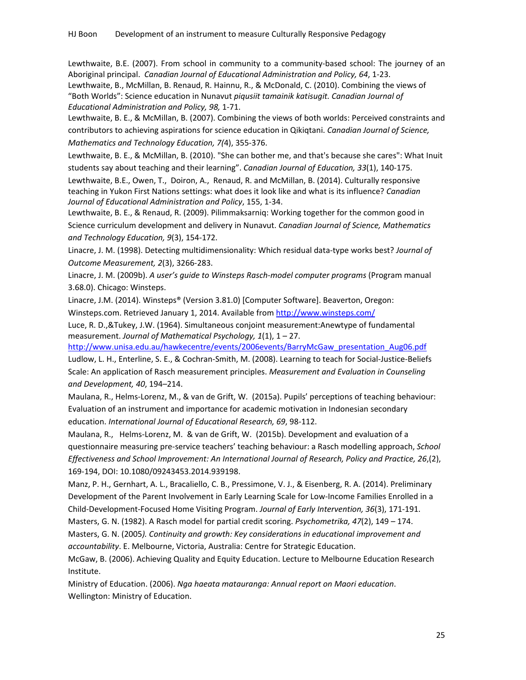Lewthwaite, B.E. (2007). From school in community to a community‐based school: The journey of an Aboriginal principal. *Canadian Journal of Educational Administration and Policy, 64*, 1‐23. Lewthwaite, B., McMillan, B. Renaud, R. Hainnu, R., & McDonald, C. (2010). Combining the views of "Both Worlds": Science education in Nunavut *piqusiit tamainik katisugit. Canadian Journal of Educational Administration and Policy, 98,* 1‐71.

Lewthwaite, B. E., & McMillan, B. (2007). Combining the views of both worlds: Perceived constraints and contributors to achieving aspirations for science education in Qikiqtani. *Canadian Journal of Science, Mathematics and Technology Education, 7(*4), 355‐376.

Lewthwaite, B. E., & McMillan, B. (2010). "She can bother me, and that's because she cares": What Inuit students say about teaching and their learning". *Canadian Journal of Education, 33*(1), 140‐175.

Lewthwaite, B.E., Owen, T., Doiron, A., Renaud, R. and McMillan, B. (2014). Culturally responsive teaching in Yukon First Nations settings: what does it look like and what is its influence? *Canadian Journal of Educational Administration and Policy*, 155, 1‐34.

Lewthwaite, B. E., & Renaud, R. (2009). Pilimmaksarniq: Working together for the common good in Science curriculum development and delivery in Nunavut. *Canadian Journal of Science, Mathematics and Technology Education, 9*(3), 154‐172.

Linacre, J. M. (1998). Detecting multidimensionality: Which residual data‐type works best? *Journal of Outcome Measurement, 2*(3), 3266‐283.

Linacre, J. M. (2009b). *A user's guide to Winsteps Rasch‐model computer programs* (Program manual 3.68.0). Chicago: Winsteps.

Linacre, J.M. (2014). Winsteps® (Version 3.81.0) [Computer Software]. Beaverton, Oregon:

Winsteps.com. Retrieved January 1, 2014. Available from http://www.winsteps.com/

Luce, R. D.,&Tukey, J.W. (1964). Simultaneous conjoint measurement:Anewtype of fundamental measurement. *Journal of Mathematical Psychology, 1*(1), 1 – 27.

http://www.unisa.edu.au/hawkecentre/events/2006events/BarryMcGaw\_presentation\_Aug06.pdf

Ludlow, L. H., Enterline, S. E., & Cochran‐Smith, M. (2008). Learning to teach for Social‐Justice‐Beliefs Scale: An application of Rasch measurement principles. *Measurement and Evaluation in Counseling and Development, 40*, 194–214.

Maulana, R., Helms‐Lorenz, M., & van de Grift, W. (2015a). Pupils' perceptions of teaching behaviour: Evaluation of an instrument and importance for academic motivation in Indonesian secondary education. *International Journal of Educational Research, 69*, 98‐112.

Maulana, R., Helms‐Lorenz, M. & van de Grift, W. (2015b). Development and evaluation of a questionnaire measuring pre‐service teachers' teaching behaviour: a Rasch modelling approach, *School Effectiveness and School Improvement: An International Journal of Research, Policy and Practice, 26*,(2), 169‐194, DOI: 10.1080/09243453.2014.939198.

Manz, P. H., Gernhart, A. L., Bracaliello, C. B., Pressimone, V. J., & Eisenberg, R. A. (2014). Preliminary Development of the Parent Involvement in Early Learning Scale for Low‐Income Families Enrolled in a Child‐Development‐Focused Home Visiting Program. *Journal of Early Intervention, 36*(3), 171‐191.

Masters, G. N. (1982). A Rasch model for partial credit scoring. *Psychometrika, 47*(2), 149 – 174.

Masters, G. N. (2005*). Continuity and growth: Key considerations in educational improvement and accountability*. E. Melbourne, Victoria, Australia: Centre for Strategic Education.

McGaw, B. (2006). Achieving Quality and Equity Education. Lecture to Melbourne Education Research Institute.

Ministry of Education. (2006). *Nga haeata matauranga: Annual report on Maori education*. Wellington: Ministry of Education.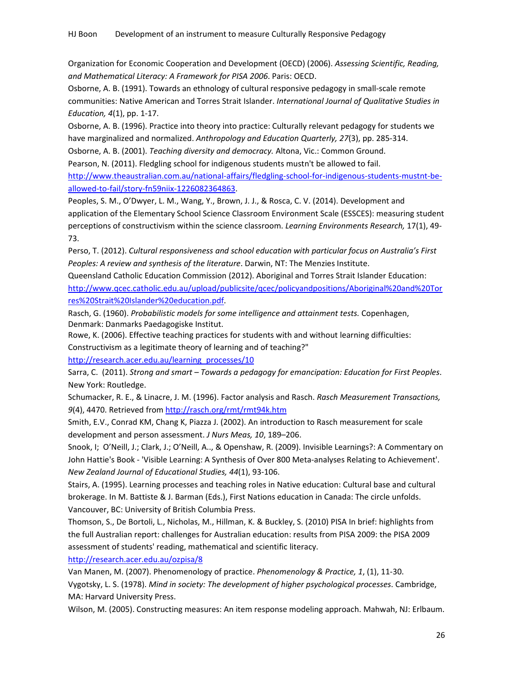Organization for Economic Cooperation and Development (OECD) (2006). *Assessing Scientific, Reading, and Mathematical Literacy: A Framework for PISA 2006*. Paris: OECD.

Osborne, A. B. (1991). Towards an ethnology of cultural responsive pedagogy in small‐scale remote communities: Native American and Torres Strait Islander. *International Journal of Qualitative Studies in Education, 4*(1), pp. 1‐17.

Osborne, A. B. (1996). Practice into theory into practice: Culturally relevant pedagogy for students we have marginalized and normalized. *Anthropology and Education Quarterly, 27*(3), pp. 285‐314.

Osborne, A. B. (2001). *Teaching diversity and democracy.* Altona, Vic.: Common Ground.

Pearson, N. (2011). Fledgling school for indigenous students mustn't be allowed to fail.

http://www.theaustralian.com.au/national‐affairs/fledgling‐school‐for‐indigenous‐students‐mustnt‐be‐ allowed‐to‐fail/story‐fn59niix‐1226082364863.

Peoples, S. M., O'Dwyer, L. M., Wang, Y., Brown, J. J., & Rosca, C. V. (2014). Development and application of the Elementary School Science Classroom Environment Scale (ESSCES): measuring student perceptions of constructivism within the science classroom. *Learning Environments Research,* 17(1), 49‐ 73.

Perso, T. (2012). *Cultural responsiveness and school education with particular focus on Australia's First Peoples: A review and synthesis of the literature*. Darwin, NT: The Menzies Institute.

Queensland Catholic Education Commission (2012). Aboriginal and Torres Strait Islander Education: http://www.qcec.catholic.edu.au/upload/publicsite/qcec/policyandpositions/Aboriginal%20and%20Tor res%20Strait%20Islander%20education.pdf.

Rasch, G. (1960). *Probabilistic models for some intelligence and attainment tests.* Copenhagen, Denmark: Danmarks Paedagogiske Institut.

Rowe, K. (2006). Effective teaching practices for students with and without learning difficulties: Constructivism as a legitimate theory of learning and of teaching?"

http://research.acer.edu.au/learning\_processes/10

Sarra, C. (2011). *Strong and smart – Towards a pedagogy for emancipation: Education for First Peoples*. New York: Routledge.

Schumacker, R. E., & Linacre, J. M. (1996). Factor analysis and Rasch. *Rasch Measurement Transactions, 9*(4), 4470. Retrieved from http://rasch.org/rmt/rmt94k.htm

Smith, E.V., Conrad KM, Chang K, Piazza J. (2002). An introduction to Rasch measurement for scale development and person assessment. *J Nurs Meas, 10*, 189–206.

Snook, I; O'Neill, J.; Clark, J.; O'Neill, A.., & Openshaw, R. (2009). Invisible Learnings?: A Commentary on John Hattie's Book - 'Visible Learning: A Synthesis of Over 800 Meta-analyses Relating to Achievement'. *New Zealand Journal of Educational Studies, 44*(1), 93‐106.

Stairs, A. (1995). Learning processes and teaching roles in Native education: Cultural base and cultural brokerage. In M. Battiste & J. Barman (Eds.), First Nations education in Canada: The circle unfolds. Vancouver, BC: University of British Columbia Press.

Thomson, S., De Bortoli, L., Nicholas, M., Hillman, K. & Buckley, S. (2010) PISA In brief: highlights from the full Australian report: challenges for Australian education: results from PISA 2009: the PISA 2009 assessment of students' reading, mathematical and scientific literacy.

http://research.acer.edu.au/ozpisa/8

Van Manen, M. (2007). Phenomenology of practice. *Phenomenology & Practice, 1*, (1), 11‐30. Vygotsky, L. S. (1978). *Mind in society: The development of higher psychological processes*. Cambridge, MA: Harvard University Press.

Wilson, M. (2005). Constructing measures: An item response modeling approach. Mahwah, NJ: Erlbaum.